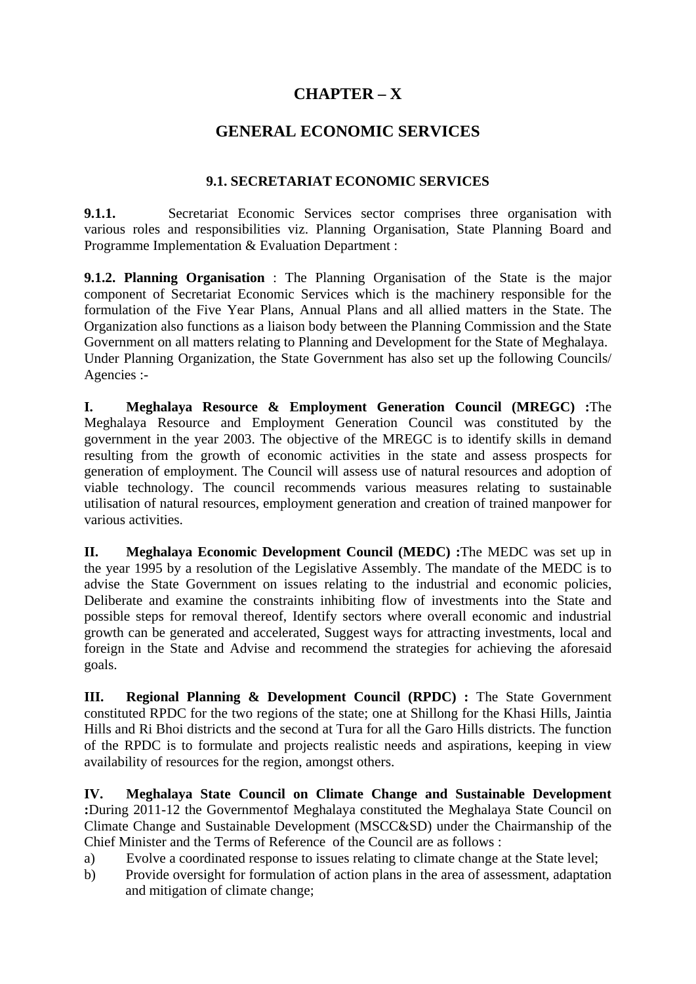# **CHAPTER – X**

# **GENERAL ECONOMIC SERVICES**

### **9.1. SECRETARIAT ECONOMIC SERVICES**

**9.1.1.** Secretariat Economic Services sector comprises three organisation with various roles and responsibilities viz. Planning Organisation, State Planning Board and Programme Implementation & Evaluation Department :

**9.1.2. Planning Organisation** : The Planning Organisation of the State is the major component of Secretariat Economic Services which is the machinery responsible for the formulation of the Five Year Plans, Annual Plans and all allied matters in the State. The Organization also functions as a liaison body between the Planning Commission and the State Government on all matters relating to Planning and Development for the State of Meghalaya. Under Planning Organization, the State Government has also set up the following Councils/ Agencies :-

**I. Meghalaya Resource & Employment Generation Council (MREGC) :**The Meghalaya Resource and Employment Generation Council was constituted by the government in the year 2003. The objective of the MREGC is to identify skills in demand resulting from the growth of economic activities in the state and assess prospects for generation of employment. The Council will assess use of natural resources and adoption of viable technology. The council recommends various measures relating to sustainable utilisation of natural resources, employment generation and creation of trained manpower for various activities.

**II. Meghalaya Economic Development Council (MEDC) :**The MEDC was set up in the year 1995 by a resolution of the Legislative Assembly. The mandate of the MEDC is to advise the State Government on issues relating to the industrial and economic policies, Deliberate and examine the constraints inhibiting flow of investments into the State and possible steps for removal thereof, Identify sectors where overall economic and industrial growth can be generated and accelerated, Suggest ways for attracting investments, local and foreign in the State and Advise and recommend the strategies for achieving the aforesaid goals.

**III.** Regional Planning & Development Council (RPDC) : The State Government constituted RPDC for the two regions of the state; one at Shillong for the Khasi Hills, Jaintia Hills and Ri Bhoi districts and the second at Tura for all the Garo Hills districts. The function of the RPDC is to formulate and projects realistic needs and aspirations, keeping in view availability of resources for the region, amongst others.

**IV. Meghalaya State Council on Climate Change and Sustainable Development :**During 2011-12 the Governmentof Meghalaya constituted the Meghalaya State Council on Climate Change and Sustainable Development (MSCC&SD) under the Chairmanship of the Chief Minister and the Terms of Reference of the Council are as follows :

a) Evolve a coordinated response to issues relating to climate change at the State level;

b) Provide oversight for formulation of action plans in the area of assessment, adaptation and mitigation of climate change;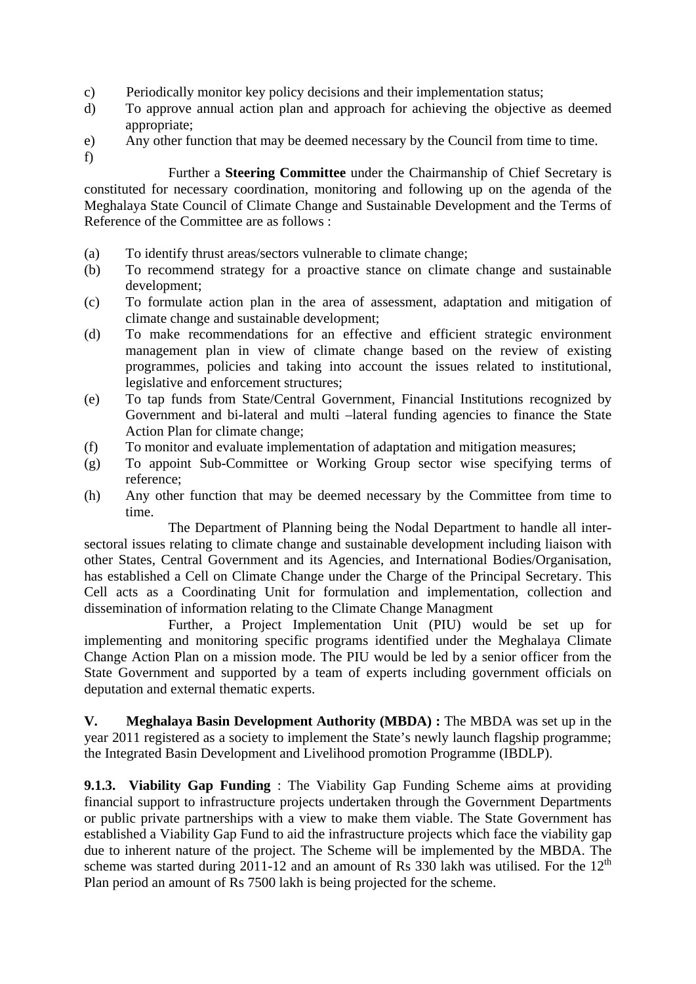- c) Periodically monitor key policy decisions and their implementation status;
- d) To approve annual action plan and approach for achieving the objective as deemed appropriate;
- e) Any other function that may be deemed necessary by the Council from time to time.
- f)

 Further a **Steering Committee** under the Chairmanship of Chief Secretary is constituted for necessary coordination, monitoring and following up on the agenda of the Meghalaya State Council of Climate Change and Sustainable Development and the Terms of Reference of the Committee are as follows :

- (a) To identify thrust areas/sectors vulnerable to climate change;
- (b) To recommend strategy for a proactive stance on climate change and sustainable development;
- (c) To formulate action plan in the area of assessment, adaptation and mitigation of climate change and sustainable development;
- (d) To make recommendations for an effective and efficient strategic environment management plan in view of climate change based on the review of existing programmes, policies and taking into account the issues related to institutional, legislative and enforcement structures;
- (e) To tap funds from State/Central Government, Financial Institutions recognized by Government and bi-lateral and multi –lateral funding agencies to finance the State Action Plan for climate change;
- (f) To monitor and evaluate implementation of adaptation and mitigation measures;
- (g) To appoint Sub-Committee or Working Group sector wise specifying terms of reference;
- (h) Any other function that may be deemed necessary by the Committee from time to time.

 The Department of Planning being the Nodal Department to handle all intersectoral issues relating to climate change and sustainable development including liaison with other States, Central Government and its Agencies, and International Bodies/Organisation, has established a Cell on Climate Change under the Charge of the Principal Secretary. This Cell acts as a Coordinating Unit for formulation and implementation, collection and dissemination of information relating to the Climate Change Managment

 Further, a Project Implementation Unit (PIU) would be set up for implementing and monitoring specific programs identified under the Meghalaya Climate Change Action Plan on a mission mode. The PIU would be led by a senior officer from the State Government and supported by a team of experts including government officials on deputation and external thematic experts.

**V.** Meghalaya Basin Development Authority (MBDA) : The MBDA was set up in the year 2011 registered as a society to implement the State's newly launch flagship programme; the Integrated Basin Development and Livelihood promotion Programme (IBDLP).

**9.1.3. Viability Gap Funding** : The Viability Gap Funding Scheme aims at providing financial support to infrastructure projects undertaken through the Government Departments or public private partnerships with a view to make them viable. The State Government has established a Viability Gap Fund to aid the infrastructure projects which face the viability gap due to inherent nature of the project. The Scheme will be implemented by the MBDA. The scheme was started during 2011-12 and an amount of Rs 330 lakh was utilised. For the  $12<sup>th</sup>$ Plan period an amount of Rs 7500 lakh is being projected for the scheme.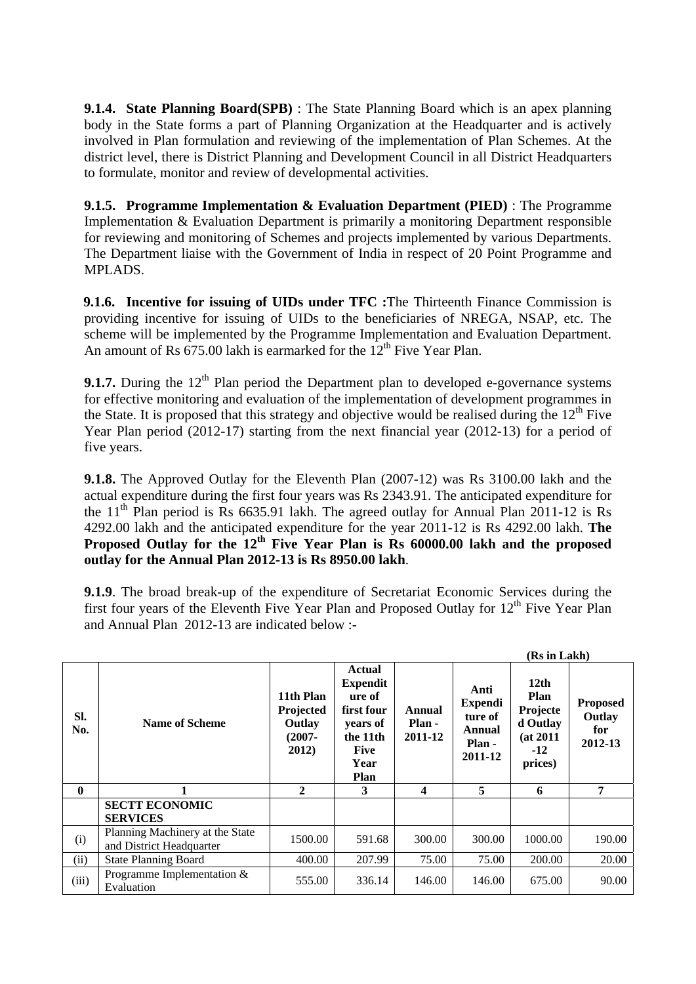**9.1.4. State Planning Board(SPB)** : The State Planning Board which is an apex planning body in the State forms a part of Planning Organization at the Headquarter and is actively involved in Plan formulation and reviewing of the implementation of Plan Schemes. At the district level, there is District Planning and Development Council in all District Headquarters to formulate, monitor and review of developmental activities.

**9.1.5. Programme Implementation & Evaluation Department (PIED)** : The Programme Implementation & Evaluation Department is primarily a monitoring Department responsible for reviewing and monitoring of Schemes and projects implemented by various Departments. The Department liaise with the Government of India in respect of 20 Point Programme and MPLADS.

**9.1.6. Incentive for issuing of UIDs under TFC :**The Thirteenth Finance Commission is providing incentive for issuing of UIDs to the beneficiaries of NREGA, NSAP, etc. The scheme will be implemented by the Programme Implementation and Evaluation Department. An amount of Rs  $675.00$  lakh is earmarked for the  $12<sup>th</sup>$  Five Year Plan.

**9.1.7.** During the  $12<sup>th</sup>$  Plan period the Department plan to developed e-governance systems for effective monitoring and evaluation of the implementation of development programmes in the State. It is proposed that this strategy and objective would be realised during the  $12<sup>th</sup>$  Five Year Plan period (2012-17) starting from the next financial year (2012-13) for a period of five years.

**9.1.8.** The Approved Outlay for the Eleventh Plan (2007-12) was Rs 3100.00 lakh and the actual expenditure during the first four years was Rs 2343.91. The anticipated expenditure for the  $11<sup>th</sup>$  Plan period is Rs 6635.91 lakh. The agreed outlay for Annual Plan 2011-12 is Rs 4292.00 lakh and the anticipated expenditure for the year 2011-12 is Rs 4292.00 lakh. **The**  Proposed Outlay for the 12<sup>th</sup> Five Year Plan is Rs 60000.00 lakh and the proposed **outlay for the Annual Plan 2012-13 is Rs 8950.00 lakh**.

**9.1.9**. The broad break-up of the expenditure of Secretariat Economic Services during the first four years of the Eleventh Five Year Plan and Proposed Outlay for  $12<sup>th</sup>$  Five Year Plan and Annual Plan 2012-13 are indicated below :-

|              |                                                             |                                                        |                                                                                                                 |                             |                                                           | (Rs in Lakh)                                                          |                                             |
|--------------|-------------------------------------------------------------|--------------------------------------------------------|-----------------------------------------------------------------------------------------------------------------|-----------------------------|-----------------------------------------------------------|-----------------------------------------------------------------------|---------------------------------------------|
| SI.<br>No.   | <b>Name of Scheme</b>                                       | 11th Plan<br>Projected<br>Outlay<br>$(2007 -$<br>2012) | <b>Actual</b><br><b>Expendit</b><br>ure of<br>first four<br>years of<br>the 11th<br><b>Five</b><br>Year<br>Plan | Annual<br>Plan -<br>2011-12 | Anti<br>Expendi<br>ture of<br>Annual<br>Plan -<br>2011-12 | 12th<br>Plan<br>Projecte<br>d Outlay<br>(at 2011)<br>$-12$<br>prices) | <b>Proposed</b><br>Outlay<br>for<br>2012-13 |
| $\mathbf{0}$ |                                                             | $\mathbf{2}$                                           | 3                                                                                                               | 4                           | 5                                                         | 6                                                                     | 7                                           |
|              | <b>SECTT ECONOMIC</b><br><b>SERVICES</b>                    |                                                        |                                                                                                                 |                             |                                                           |                                                                       |                                             |
| (i)          | Planning Machinery at the State<br>and District Headquarter | 1500.00                                                | 591.68                                                                                                          | 300.00                      | 300.00                                                    | 1000.00                                                               | 190.00                                      |
| (ii)         | <b>State Planning Board</b>                                 | 400.00                                                 | 207.99                                                                                                          | 75.00                       | 75.00                                                     | 200.00                                                                | 20.00                                       |
| (iii)        | Programme Implementation $&$<br>Evaluation                  | 555.00                                                 | 336.14                                                                                                          | 146.00                      | 146.00                                                    | 675.00                                                                | 90.00                                       |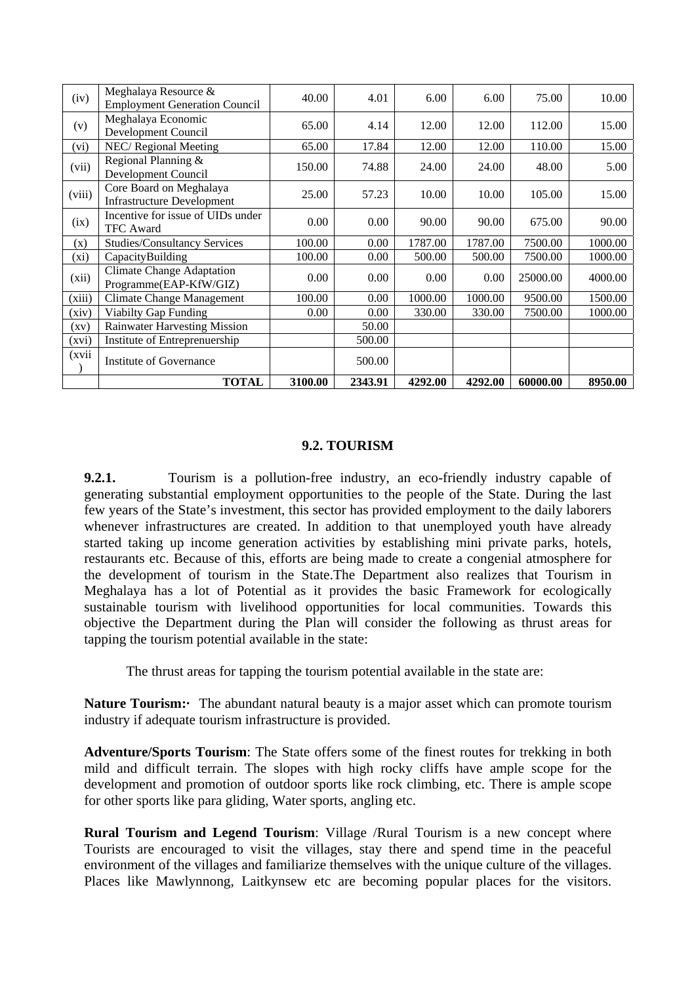| (iv)    | Meghalaya Resource &<br><b>Employment Generation Council</b> | 40.00   | 4.01    | 6.00     | 6.00    | 75.00    | 10.00   |
|---------|--------------------------------------------------------------|---------|---------|----------|---------|----------|---------|
| (v)     | Meghalaya Economic<br>Development Council                    | 65.00   | 4.14    | 12.00    | 12.00   | 112.00   | 15.00   |
| (vi)    | NEC/Regional Meeting                                         | 65.00   | 17.84   | 12.00    | 12.00   | 110.00   | 15.00   |
| (vii)   | Regional Planning &<br>Development Council                   | 150.00  | 74.88   | 24.00    | 24.00   | 48.00    | 5.00    |
| (viii)  | Core Board on Meghalaya<br><b>Infrastructure Development</b> | 25.00   | 57.23   | 10.00    | 10.00   | 105.00   | 15.00   |
| (ix)    | Incentive for issue of UIDs under<br><b>TFC</b> Award        | 0.00    | 0.00    | 90.00    | 90.00   | 675.00   | 90.00   |
| (x)     | <b>Studies/Consultancy Services</b>                          | 100.00  | 0.00    | 1787.00  | 1787.00 | 7500.00  | 1000.00 |
| $(x_i)$ | CapacityBuilding                                             | 100.00  | 0.00    | 500.00   | 500.00  | 7500.00  | 1000.00 |
| (xii)   | <b>Climate Change Adaptation</b><br>Programme(EAP-KfW/GIZ)   | 0.00    | 0.00    | $0.00\,$ | 0.00    | 25000.00 | 4000.00 |
| (xiii)  | <b>Climate Change Management</b>                             | 100.00  | 0.00    | 1000.00  | 1000.00 | 9500.00  | 1500.00 |
| (xiv)   | <b>Viabilty Gap Funding</b>                                  | 0.00    | 0.00    | 330.00   | 330.00  | 7500.00  | 1000.00 |
| (xv)    | <b>Rainwater Harvesting Mission</b>                          |         | 50.00   |          |         |          |         |
| (xvi)   | Institute of Entreprenuership                                |         | 500.00  |          |         |          |         |
| (xvii   | <b>Institute of Governance</b>                               |         | 500.00  |          |         |          |         |
|         | <b>TOTAL</b>                                                 | 3100.00 | 2343.91 | 4292.00  | 4292.00 | 60000.00 | 8950.00 |

#### **9.2. TOURISM**

**9.2.1.** Tourism is a pollution-free industry, an eco-friendly industry capable of generating substantial employment opportunities to the people of the State. During the last few years of the State's investment, this sector has provided employment to the daily laborers whenever infrastructures are created. In addition to that unemployed youth have already started taking up income generation activities by establishing mini private parks, hotels, restaurants etc. Because of this, efforts are being made to create a congenial atmosphere for the development of tourism in the State.The Department also realizes that Tourism in Meghalaya has a lot of Potential as it provides the basic Framework for ecologically sustainable tourism with livelihood opportunities for local communities. Towards this objective the Department during the Plan will consider the following as thrust areas for tapping the tourism potential available in the state:

The thrust areas for tapping the tourism potential available in the state are:

**Nature Tourism:** The abundant natural beauty is a major asset which can promote tourism industry if adequate tourism infrastructure is provided.

**Adventure/Sports Tourism**: The State offers some of the finest routes for trekking in both mild and difficult terrain. The slopes with high rocky cliffs have ample scope for the development and promotion of outdoor sports like rock climbing, etc. There is ample scope for other sports like para gliding, Water sports, angling etc.

**Rural Tourism and Legend Tourism**: Village /Rural Tourism is a new concept where Tourists are encouraged to visit the villages, stay there and spend time in the peaceful environment of the villages and familiarize themselves with the unique culture of the villages. Places like Mawlynnong, Laitkynsew etc are becoming popular places for the visitors.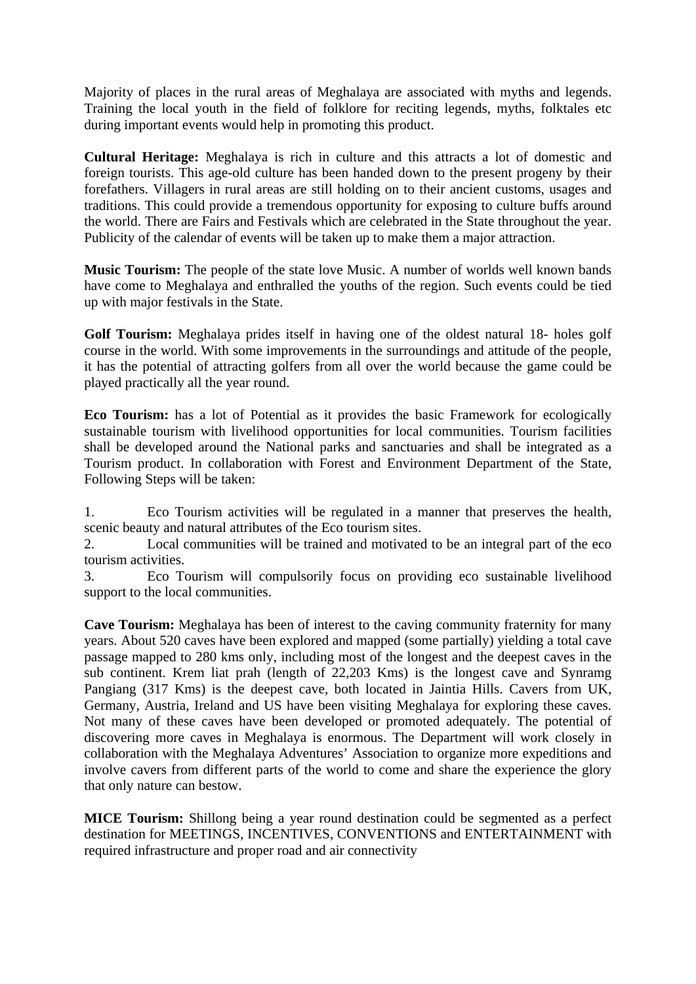Majority of places in the rural areas of Meghalaya are associated with myths and legends. Training the local youth in the field of folklore for reciting legends, myths, folktales etc during important events would help in promoting this product.

**Cultural Heritage:** Meghalaya is rich in culture and this attracts a lot of domestic and foreign tourists. This age-old culture has been handed down to the present progeny by their forefathers. Villagers in rural areas are still holding on to their ancient customs, usages and traditions. This could provide a tremendous opportunity for exposing to culture buffs around the world. There are Fairs and Festivals which are celebrated in the State throughout the year. Publicity of the calendar of events will be taken up to make them a major attraction.

**Music Tourism:** The people of the state love Music. A number of worlds well known bands have come to Meghalaya and enthralled the youths of the region. Such events could be tied up with major festivals in the State.

**Golf Tourism:** Meghalaya prides itself in having one of the oldest natural 18- holes golf course in the world. With some improvements in the surroundings and attitude of the people, it has the potential of attracting golfers from all over the world because the game could be played practically all the year round.

**Eco Tourism:** has a lot of Potential as it provides the basic Framework for ecologically sustainable tourism with livelihood opportunities for local communities. Tourism facilities shall be developed around the National parks and sanctuaries and shall be integrated as a Tourism product. In collaboration with Forest and Environment Department of the State, Following Steps will be taken:

1. Eco Tourism activities will be regulated in a manner that preserves the health, scenic beauty and natural attributes of the Eco tourism sites.

2. Local communities will be trained and motivated to be an integral part of the eco tourism activities.

3. Eco Tourism will compulsorily focus on providing eco sustainable livelihood support to the local communities.

**Cave Tourism:** Meghalaya has been of interest to the caving community fraternity for many years. About 520 caves have been explored and mapped (some partially) yielding a total cave passage mapped to 280 kms only, including most of the longest and the deepest caves in the sub continent. Krem liat prah (length of 22,203 Kms) is the longest cave and Synramg Pangiang (317 Kms) is the deepest cave, both located in Jaintia Hills. Cavers from UK, Germany, Austria, Ireland and US have been visiting Meghalaya for exploring these caves. Not many of these caves have been developed or promoted adequately. The potential of discovering more caves in Meghalaya is enormous. The Department will work closely in collaboration with the Meghalaya Adventures' Association to organize more expeditions and involve cavers from different parts of the world to come and share the experience the glory that only nature can bestow.

**MICE Tourism:** Shillong being a year round destination could be segmented as a perfect destination for MEETINGS, INCENTIVES, CONVENTIONS and ENTERTAINMENT with required infrastructure and proper road and air connectivity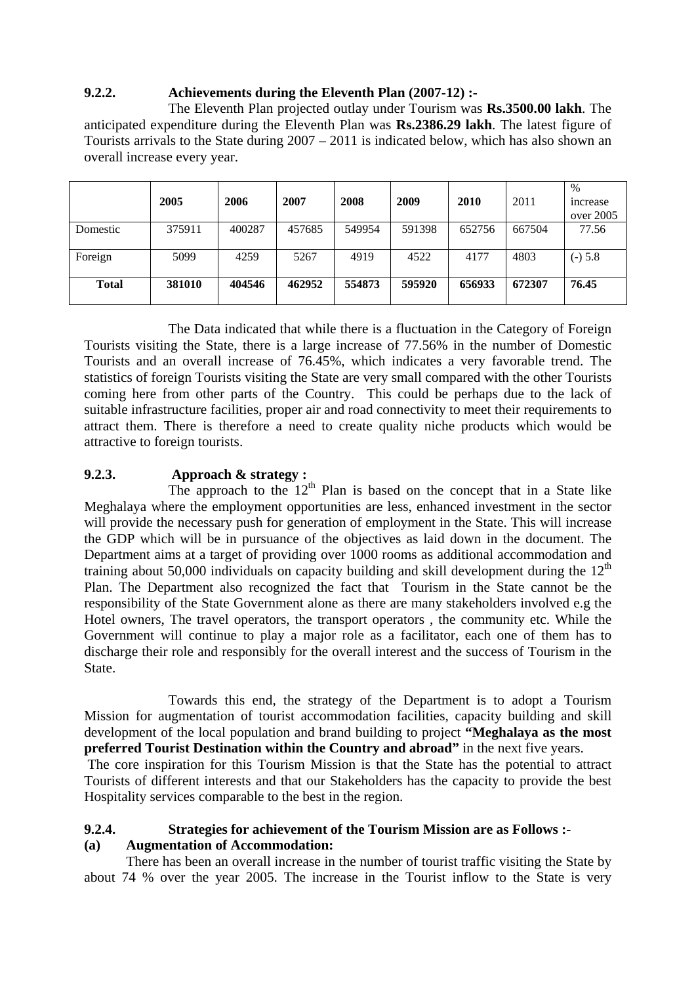## **9.2.2. Achievements during the Eleventh Plan (2007-12) :-**

 The Eleventh Plan projected outlay under Tourism was **Rs.3500.00 lakh**. The anticipated expenditure during the Eleventh Plan was **Rs.2386.29 lakh**. The latest figure of Tourists arrivals to the State during 2007 – 2011 is indicated below, which has also shown an overall increase every year.

|              | 2005   | 2006   | 2007   | 2008   | 2009   | 2010   | 2011   | $\%$<br><i>ncrease</i><br>over 2005 |
|--------------|--------|--------|--------|--------|--------|--------|--------|-------------------------------------|
| Domestic     | 375911 | 400287 | 457685 | 549954 | 591398 | 652756 | 667504 | 77.56                               |
| Foreign      | 5099   | 4259   | 5267   | 4919   | 4522   | 4177   | 4803   | $(-) 5.8$                           |
| <b>Total</b> | 381010 | 404546 | 462952 | 554873 | 595920 | 656933 | 672307 | 76.45                               |

 The Data indicated that while there is a fluctuation in the Category of Foreign Tourists visiting the State, there is a large increase of 77.56% in the number of Domestic Tourists and an overall increase of 76.45%, which indicates a very favorable trend. The statistics of foreign Tourists visiting the State are very small compared with the other Tourists coming here from other parts of the Country. This could be perhaps due to the lack of suitable infrastructure facilities, proper air and road connectivity to meet their requirements to attract them. There is therefore a need to create quality niche products which would be attractive to foreign tourists.

## **9.2.3. Approach & strategy :**

The approach to the  $12<sup>th</sup>$  Plan is based on the concept that in a State like Meghalaya where the employment opportunities are less, enhanced investment in the sector will provide the necessary push for generation of employment in the State. This will increase the GDP which will be in pursuance of the objectives as laid down in the document. The Department aims at a target of providing over 1000 rooms as additional accommodation and training about 50,000 individuals on capacity building and skill development during the  $12<sup>th</sup>$ Plan. The Department also recognized the fact that Tourism in the State cannot be the responsibility of the State Government alone as there are many stakeholders involved e.g the Hotel owners, The travel operators, the transport operators , the community etc. While the Government will continue to play a major role as a facilitator, each one of them has to discharge their role and responsibly for the overall interest and the success of Tourism in the State.

 Towards this end, the strategy of the Department is to adopt a Tourism Mission for augmentation of tourist accommodation facilities, capacity building and skill development of the local population and brand building to project **"Meghalaya as the most preferred Tourist Destination within the Country and abroad"** in the next five years.

 The core inspiration for this Tourism Mission is that the State has the potential to attract Tourists of different interests and that our Stakeholders has the capacity to provide the best Hospitality services comparable to the best in the region.

#### **9.2.4. Strategies for achievement of the Tourism Mission are as Follows :- (a) Augmentation of Accommodation:**

 There has been an overall increase in the number of tourist traffic visiting the State by about 74 % over the year 2005. The increase in the Tourist inflow to the State is very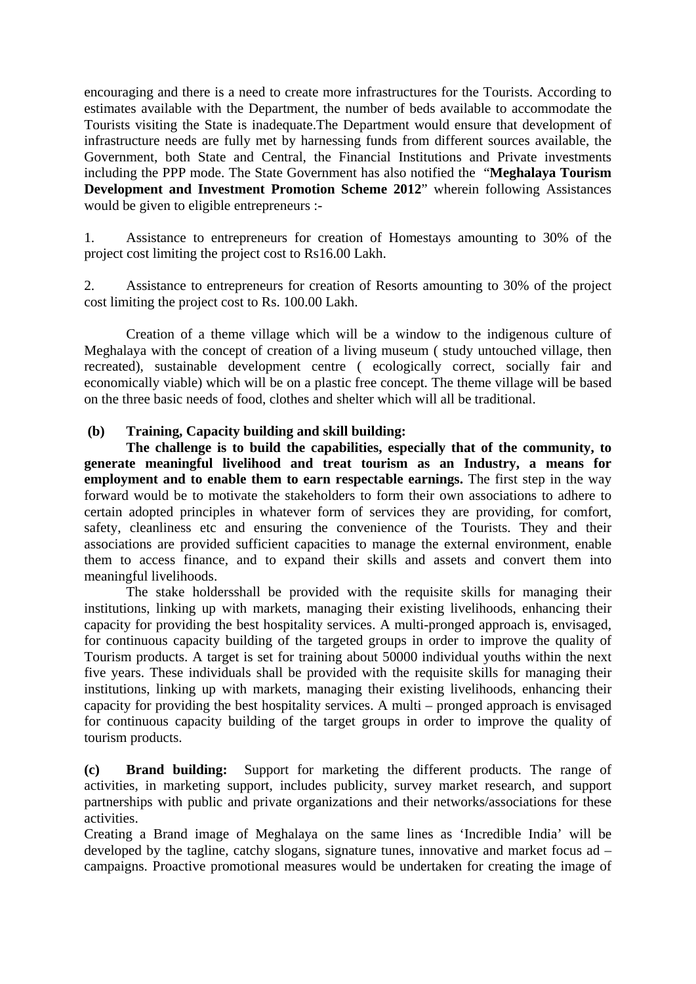encouraging and there is a need to create more infrastructures for the Tourists. According to estimates available with the Department, the number of beds available to accommodate the Tourists visiting the State is inadequate.The Department would ensure that development of infrastructure needs are fully met by harnessing funds from different sources available, the Government, both State and Central, the Financial Institutions and Private investments including the PPP mode. The State Government has also notified the "**Meghalaya Tourism Development and Investment Promotion Scheme 2012**" wherein following Assistances would be given to eligible entrepreneurs :-

1. Assistance to entrepreneurs for creation of Homestays amounting to 30% of the project cost limiting the project cost to Rs16.00 Lakh.

2. Assistance to entrepreneurs for creation of Resorts amounting to 30% of the project cost limiting the project cost to Rs. 100.00 Lakh.

 Creation of a theme village which will be a window to the indigenous culture of Meghalaya with the concept of creation of a living museum ( study untouched village, then recreated), sustainable development centre ( ecologically correct, socially fair and economically viable) which will be on a plastic free concept. The theme village will be based on the three basic needs of food, clothes and shelter which will all be traditional.

### **(b) Training, Capacity building and skill building:**

 **The challenge is to build the capabilities, especially that of the community, to generate meaningful livelihood and treat tourism as an Industry, a means for employment and to enable them to earn respectable earnings.** The first step in the way forward would be to motivate the stakeholders to form their own associations to adhere to certain adopted principles in whatever form of services they are providing, for comfort, safety, cleanliness etc and ensuring the convenience of the Tourists. They and their associations are provided sufficient capacities to manage the external environment, enable them to access finance, and to expand their skills and assets and convert them into meaningful livelihoods.

 The stake holdersshall be provided with the requisite skills for managing their institutions, linking up with markets, managing their existing livelihoods, enhancing their capacity for providing the best hospitality services. A multi-pronged approach is, envisaged, for continuous capacity building of the targeted groups in order to improve the quality of Tourism products. A target is set for training about 50000 individual youths within the next five years. These individuals shall be provided with the requisite skills for managing their institutions, linking up with markets, managing their existing livelihoods, enhancing their capacity for providing the best hospitality services. A multi – pronged approach is envisaged for continuous capacity building of the target groups in order to improve the quality of tourism products.

**(c) Brand building:** Support for marketing the different products. The range of activities, in marketing support, includes publicity, survey market research, and support partnerships with public and private organizations and their networks/associations for these activities.

Creating a Brand image of Meghalaya on the same lines as 'Incredible India' will be developed by the tagline, catchy slogans, signature tunes, innovative and market focus ad – campaigns. Proactive promotional measures would be undertaken for creating the image of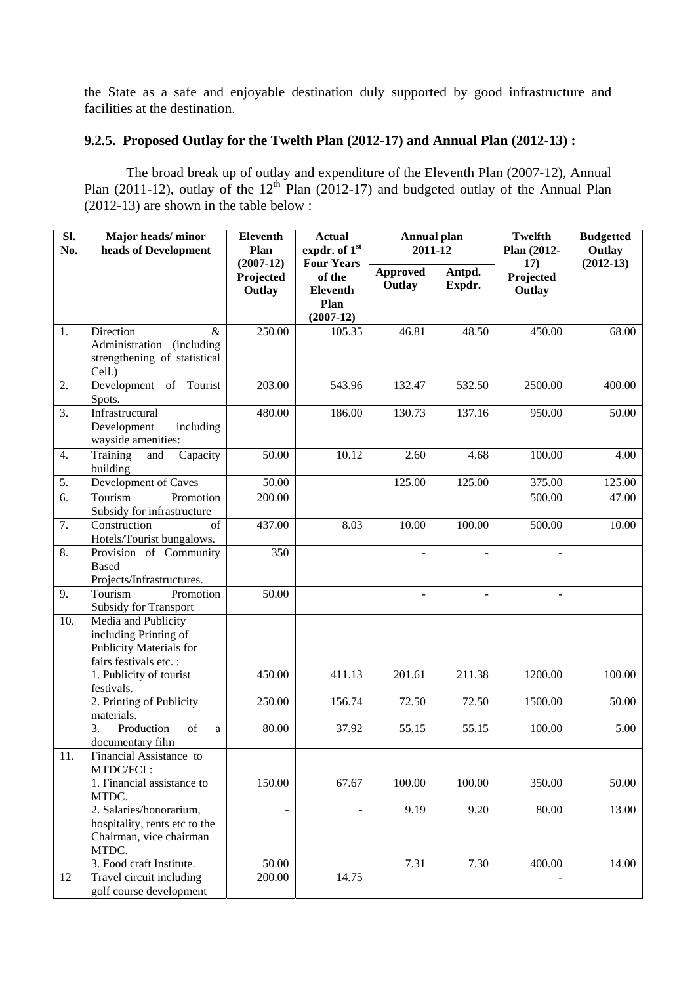the State as a safe and enjoyable destination duly supported by good infrastructure and facilities at the destination.

# **9.2.5. Proposed Outlay for the Twelth Plan (2012-17) and Annual Plan (2012-13) :**

 The broad break up of outlay and expenditure of the Eleventh Plan (2007-12), Annual Plan (2011-12), outlay of the  $12<sup>th</sup>$  Plan (2012-17) and budgeted outlay of the Annual Plan  $(2012-13)$  are shown in the table below :

| SI.<br>No. | Major heads/minor<br>heads of Development                                      | <b>Eleventh</b><br>Plan            | <b>Actual</b><br>expdr. of 1st                 | <b>Annual plan</b><br>2011-12 |                  | <b>Twelfth</b><br>Plan (2012- | <b>Budgetted</b><br>Outlay |
|------------|--------------------------------------------------------------------------------|------------------------------------|------------------------------------------------|-------------------------------|------------------|-------------------------------|----------------------------|
|            |                                                                                | $(2007-12)$<br>Projected<br>Outlay | <b>Four Years</b><br>of the<br><b>Eleventh</b> | Approved<br>Outlay            | Antpd.<br>Expdr. | 17)<br>Projected<br>Outlay    | $(2012-13)$                |
|            |                                                                                |                                    | Plan<br>$(2007-12)$                            |                               |                  |                               |                            |
| 1.         | Direction<br>$\&$                                                              | 250.00                             | 105.35                                         | 46.81                         | 48.50            | 450.00                        | 68.00                      |
|            | Administration (including<br>strengthening of statistical<br>Cell.)            |                                    |                                                |                               |                  |                               |                            |
| 2.         | Development of Tourist<br>Spots.                                               | 203.00                             | 543.96                                         | 132.47                        | 532.50           | 2500.00                       | 400.00                     |
| 3.         | Infrastructural<br>Development<br>including<br>wayside amenities:              | 480.00                             | 186.00                                         | 130.73                        | 137.16           | 950.00                        | 50.00                      |
| 4.         | Training<br>and<br>Capacity<br>building                                        | 50.00                              | 10.12                                          | 2.60                          | 4.68             | 100.00                        | 4.00                       |
| 5.         | Development of Caves                                                           | 50.00                              |                                                | 125.00                        | 125.00           | 375.00                        | 125.00                     |
| 6.         | Tourism<br>Promotion<br>Subsidy for infrastructure                             | 200.00                             |                                                |                               |                  | 500.00                        | 47.00                      |
| 7.         | Construction<br>of<br>Hotels/Tourist bungalows.                                | 437.00                             | 8.03                                           | 10.00                         | 100.00           | 500.00                        | 10.00                      |
| 8.         | Provision of Community<br><b>Based</b><br>Projects/Infrastructures.            | 350                                |                                                |                               |                  | $\overline{\phantom{a}}$      |                            |
| 9.         | Tourism<br>Promotion<br><b>Subsidy for Transport</b>                           | 50.00                              |                                                | $\overline{\phantom{a}}$      |                  | ÷,                            |                            |
| 10.        | Media and Publicity<br>including Printing of<br><b>Publicity Materials for</b> |                                    |                                                |                               |                  |                               |                            |
|            | fairs festivals etc. :<br>1. Publicity of tourist<br>festivals.                | 450.00                             | 411.13                                         | 201.61                        | 211.38           | 1200.00                       | 100.00                     |
|            | 2. Printing of Publicity<br>materials.                                         | 250.00                             | 156.74                                         | 72.50                         | 72.50            | 1500.00                       | 50.00                      |
|            | Production<br>3.<br>of<br>a<br>documentary film                                | 80.00                              | 37.92                                          | 55.15                         | 55.15            | 100.00                        | 5.00                       |
| 11.        | Financial Assistance to<br>MTDC/FCI:                                           |                                    |                                                |                               |                  |                               |                            |
|            | 1. Financial assistance to                                                     | 150.00                             | 67.67                                          | 100.00                        | 100.00           | 350.00                        | 50.00                      |
|            | MTDC.<br>2. Salaries/honorarium,                                               |                                    |                                                | 9.19                          | 9.20             | 80.00                         | 13.00                      |
|            | hospitality, rents etc to the<br>Chairman, vice chairman<br>MTDC.              |                                    |                                                |                               |                  |                               |                            |
|            | 3. Food craft Institute.                                                       | 50.00                              |                                                | 7.31                          | 7.30             | 400.00                        | 14.00                      |
| 12         | Travel circuit including<br>golf course development                            | 200.00                             | 14.75                                          |                               |                  |                               |                            |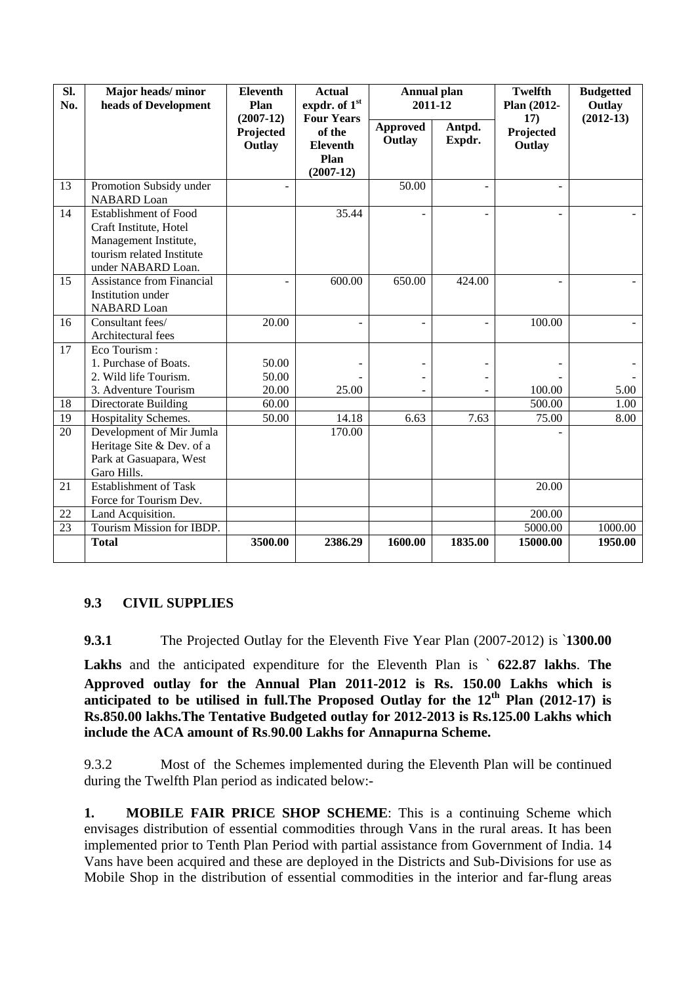| SI.<br>No. | Major heads/minor<br>heads of Development                                                                                          | <b>Eleventh</b><br>Plan            | <b>Actual</b><br>expdr. of 1st                                        | <b>Annual plan</b><br>2011-12 |                  | <b>Twelfth</b><br>Plan (2012- | <b>Budgetted</b><br>Outlay |
|------------|------------------------------------------------------------------------------------------------------------------------------------|------------------------------------|-----------------------------------------------------------------------|-------------------------------|------------------|-------------------------------|----------------------------|
|            |                                                                                                                                    | $(2007-12)$<br>Projected<br>Outlay | <b>Four Years</b><br>of the<br><b>Eleventh</b><br>Plan<br>$(2007-12)$ | <b>Approved</b><br>Outlay     | Antpd.<br>Expdr. | 17)<br>Projected<br>Outlay    | $(2012-13)$                |
| 13         | Promotion Subsidy under<br><b>NABARD</b> Loan                                                                                      |                                    |                                                                       | 50.00                         |                  | ÷,                            |                            |
| 14         | <b>Establishment of Food</b><br>Craft Institute, Hotel<br>Management Institute,<br>tourism related Institute<br>under NABARD Loan. |                                    | 35.44                                                                 |                               |                  | L.                            |                            |
| 15         | <b>Assistance from Financial</b><br>Institution under<br><b>NABARD</b> Loan                                                        |                                    | 600.00                                                                | 650.00                        | 424.00           | ÷                             |                            |
| 16         | Consultant fees/<br>Architectural fees                                                                                             | 20.00                              |                                                                       |                               |                  | 100.00                        |                            |
| 17         | Eco Tourism:<br>1. Purchase of Boats.<br>2. Wild life Tourism.<br>3. Adventure Tourism                                             | 50.00<br>50.00<br>20.00            | 25.00                                                                 |                               |                  | 100.00                        | 5.00                       |
| 18         | Directorate Building                                                                                                               | 60.00                              |                                                                       |                               |                  | 500.00                        | 1.00                       |
| 19         | Hospitality Schemes.                                                                                                               | 50.00                              | 14.18                                                                 | 6.63                          | 7.63             | 75.00                         | 8.00                       |
| 20         | Development of Mir Jumla<br>Heritage Site & Dev. of a<br>Park at Gasuapara, West<br>Garo Hills.                                    |                                    | 170.00                                                                |                               |                  |                               |                            |
| 21         | <b>Establishment of Task</b><br>Force for Tourism Dev.                                                                             |                                    |                                                                       |                               |                  | 20.00                         |                            |
| 22         | Land Acquisition.                                                                                                                  |                                    |                                                                       |                               |                  | 200.00                        |                            |
| 23         | Tourism Mission for IBDP.                                                                                                          |                                    |                                                                       |                               |                  | 5000.00                       | 1000.00                    |
|            | <b>Total</b>                                                                                                                       | 3500.00                            | 2386.29                                                               | 1600.00                       | 1835.00          | 15000.00                      | 1950.00                    |

## **9.3 CIVIL SUPPLIES**

**9.3.1** The Projected Outlay for the Eleventh Five Year Plan (2007-2012) is `**1300.00** 

**Lakhs** and the anticipated expenditure for the Eleventh Plan is ` **622.87 lakhs**. **The Approved outlay for the Annual Plan 2011-2012 is Rs. 150.00 Lakhs which is anticipated to be utilised in full.The Proposed Outlay for the 12th Plan (2012-17) is Rs.850.00 lakhs.The Tentative Budgeted outlay for 2012-2013 is Rs.125.00 Lakhs which include the ACA amount of Rs**.**90.00 Lakhs for Annapurna Scheme.** 

9.3.2 Most of the Schemes implemented during the Eleventh Plan will be continued during the Twelfth Plan period as indicated below:-

**1. MOBILE FAIR PRICE SHOP SCHEME:** This is a continuing Scheme which envisages distribution of essential commodities through Vans in the rural areas. It has been implemented prior to Tenth Plan Period with partial assistance from Government of India. 14 Vans have been acquired and these are deployed in the Districts and Sub-Divisions for use as Mobile Shop in the distribution of essential commodities in the interior and far-flung areas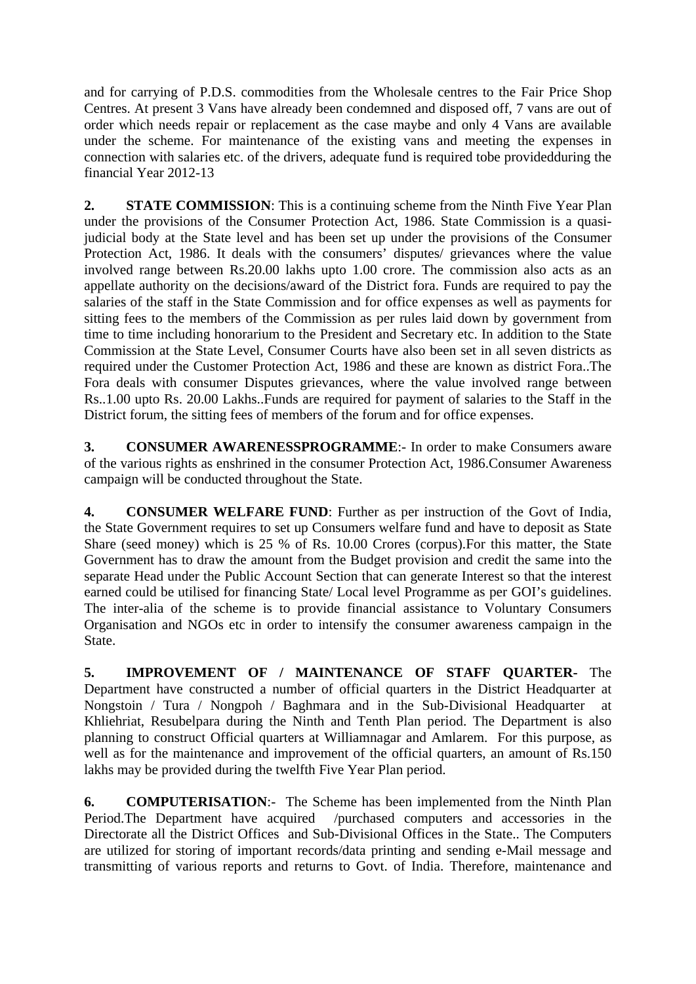and for carrying of P.D.S. commodities from the Wholesale centres to the Fair Price Shop Centres. At present 3 Vans have already been condemned and disposed off, 7 vans are out of order which needs repair or replacement as the case maybe and only 4 Vans are available under the scheme. For maintenance of the existing vans and meeting the expenses in connection with salaries etc. of the drivers, adequate fund is required tobe providedduring the financial Year 2012-13

**2. STATE COMMISSION**: This is a continuing scheme from the Ninth Five Year Plan under the provisions of the Consumer Protection Act, 1986. State Commission is a quasijudicial body at the State level and has been set up under the provisions of the Consumer Protection Act, 1986. It deals with the consumers' disputes/ grievances where the value involved range between Rs.20.00 lakhs upto 1.00 crore. The commission also acts as an appellate authority on the decisions/award of the District fora. Funds are required to pay the salaries of the staff in the State Commission and for office expenses as well as payments for sitting fees to the members of the Commission as per rules laid down by government from time to time including honorarium to the President and Secretary etc. In addition to the State Commission at the State Level, Consumer Courts have also been set in all seven districts as required under the Customer Protection Act, 1986 and these are known as district Fora..The Fora deals with consumer Disputes grievances, where the value involved range between Rs..1.00 upto Rs. 20.00 Lakhs..Funds are required for payment of salaries to the Staff in the District forum, the sitting fees of members of the forum and for office expenses.

**3. CONSUMER AWARENESSPROGRAMME**:- In order to make Consumers aware of the various rights as enshrined in the consumer Protection Act, 1986.Consumer Awareness campaign will be conducted throughout the State.

**4. CONSUMER WELFARE FUND**: Further as per instruction of the Govt of India, the State Government requires to set up Consumers welfare fund and have to deposit as State Share (seed money) which is 25 % of Rs. 10.00 Crores (corpus).For this matter, the State Government has to draw the amount from the Budget provision and credit the same into the separate Head under the Public Account Section that can generate Interest so that the interest earned could be utilised for financing State/ Local level Programme as per GOI's guidelines. The inter-alia of the scheme is to provide financial assistance to Voluntary Consumers Organisation and NGOs etc in order to intensify the consumer awareness campaign in the State.

**5. IMPROVEMENT OF / MAINTENANCE OF STAFF QUARTER-** The Department have constructed a number of official quarters in the District Headquarter at Nongstoin / Tura / Nongpoh / Baghmara and in the Sub-Divisional Headquarter at Khliehriat, Resubelpara during the Ninth and Tenth Plan period. The Department is also planning to construct Official quarters at Williamnagar and Amlarem. For this purpose, as well as for the maintenance and improvement of the official quarters, an amount of Rs.150 lakhs may be provided during the twelfth Five Year Plan period.

**6. COMPUTERISATION**:- The Scheme has been implemented from the Ninth Plan Period.The Department have acquired /purchased computers and accessories in the Directorate all the District Offices and Sub-Divisional Offices in the State.. The Computers are utilized for storing of important records/data printing and sending e-Mail message and transmitting of various reports and returns to Govt. of India. Therefore, maintenance and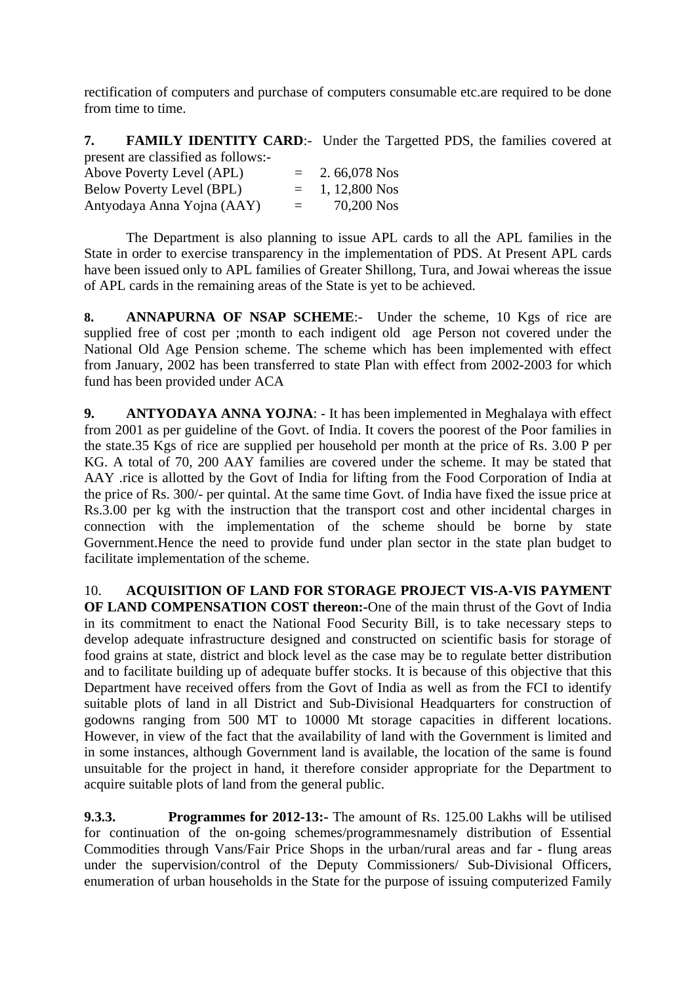rectification of computers and purchase of computers consumable etc.are required to be done from time to time.

**7. FAMILY IDENTITY CARD:-** Under the Targetted PDS, the families covered at present are classified as follows:-

| Above Poverty Level (APL)        | $=$ | 2.66,078 Nos  |
|----------------------------------|-----|---------------|
| <b>Below Poverty Level (BPL)</b> | $=$ | 1, 12,800 Nos |
| Antyodaya Anna Yojna (AAY)       | $=$ | 70,200 Nos    |

 The Department is also planning to issue APL cards to all the APL families in the State in order to exercise transparency in the implementation of PDS. At Present APL cards have been issued only to APL families of Greater Shillong, Tura, and Jowai whereas the issue of APL cards in the remaining areas of the State is yet to be achieved.

8. **ANNAPURNA OF NSAP SCHEME**:- Under the scheme, 10 Kgs of rice are supplied free of cost per ;month to each indigent old age Person not covered under the National Old Age Pension scheme. The scheme which has been implemented with effect from January, 2002 has been transferred to state Plan with effect from 2002-2003 for which fund has been provided under ACA

**9. ANTYODAYA ANNA YOJNA**: - It has been implemented in Meghalaya with effect from 2001 as per guideline of the Govt. of India. It covers the poorest of the Poor families in the state.35 Kgs of rice are supplied per household per month at the price of Rs. 3.00 P per KG. A total of 70, 200 AAY families are covered under the scheme. It may be stated that AAY .rice is allotted by the Govt of India for lifting from the Food Corporation of India at the price of Rs. 300/- per quintal. At the same time Govt. of India have fixed the issue price at Rs.3.00 per kg with the instruction that the transport cost and other incidental charges in connection with the implementation of the scheme should be borne by state Government.Hence the need to provide fund under plan sector in the state plan budget to facilitate implementation of the scheme.

10. **ACQUISITION OF LAND FOR STORAGE PROJECT VIS-A-VIS PAYMENT OF LAND COMPENSATION COST thereon:-**One of the main thrust of the Govt of India in its commitment to enact the National Food Security Bill, is to take necessary steps to develop adequate infrastructure designed and constructed on scientific basis for storage of food grains at state, district and block level as the case may be to regulate better distribution and to facilitate building up of adequate buffer stocks. It is because of this objective that this Department have received offers from the Govt of India as well as from the FCI to identify suitable plots of land in all District and Sub-Divisional Headquarters for construction of godowns ranging from 500 MT to 10000 Mt storage capacities in different locations. However, in view of the fact that the availability of land with the Government is limited and in some instances, although Government land is available, the location of the same is found unsuitable for the project in hand, it therefore consider appropriate for the Department to acquire suitable plots of land from the general public.

**9.3.3. Programmes for 2012-13:-** The amount of Rs. 125.00 Lakhs will be utilised for continuation of the on-going schemes/programmesnamely distribution of Essential Commodities through Vans/Fair Price Shops in the urban/rural areas and far - flung areas under the supervision/control of the Deputy Commissioners/ Sub-Divisional Officers, enumeration of urban households in the State for the purpose of issuing computerized Family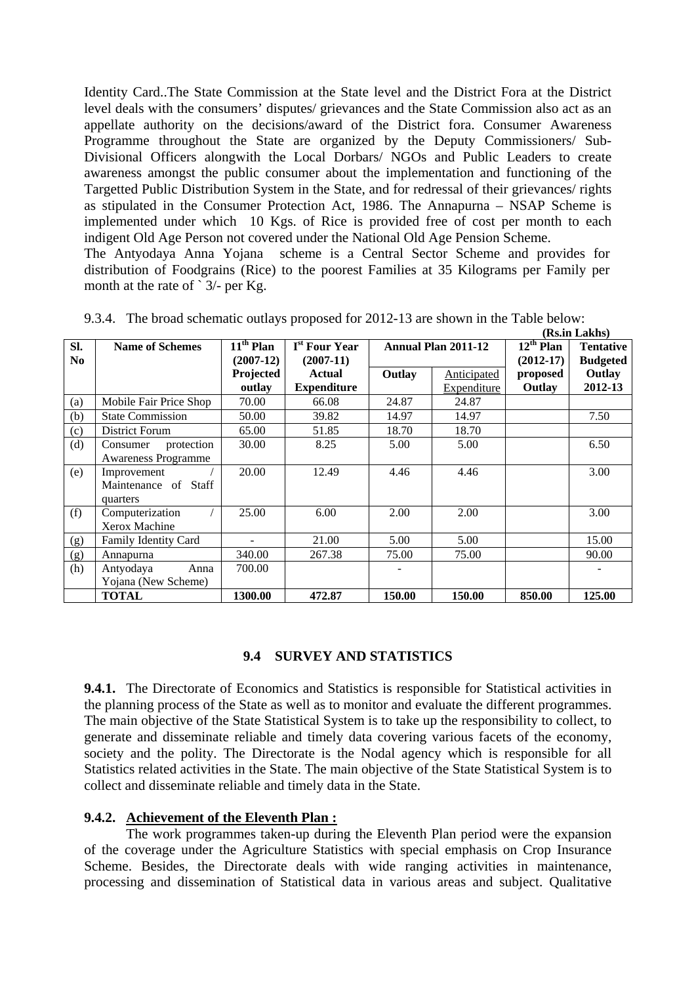Identity Card..The State Commission at the State level and the District Fora at the District level deals with the consumers' disputes/ grievances and the State Commission also act as an appellate authority on the decisions/award of the District fora. Consumer Awareness Programme throughout the State are organized by the Deputy Commissioners/ Sub-Divisional Officers alongwith the Local Dorbars/ NGOs and Public Leaders to create awareness amongst the public consumer about the implementation and functioning of the Targetted Public Distribution System in the State, and for redressal of their grievances/ rights as stipulated in the Consumer Protection Act, 1986. The Annapurna – NSAP Scheme is implemented under which 10 Kgs. of Rice is provided free of cost per month to each indigent Old Age Person not covered under the National Old Age Pension Scheme.

The Antyodaya Anna Yojana scheme is a Central Sector Scheme and provides for distribution of Foodgrains (Rice) to the poorest Families at 35 Kilograms per Family per month at the rate of  $\degree$  3/- per Kg.

|                |                             |             |                           |                            |             |                       | (Rs.in Lakhs)    |
|----------------|-----------------------------|-------------|---------------------------|----------------------------|-------------|-----------------------|------------------|
| SI.            | <b>Name of Schemes</b>      | $11th$ Plan | I <sup>st</sup> Four Year | <b>Annual Plan 2011-12</b> |             | $12^{\text{th}}$ Plan | <b>Tentative</b> |
| N <sub>0</sub> |                             | $(2007-12)$ | $(2007-11)$               |                            |             | $(2012-17)$           | <b>Budgeted</b>  |
|                |                             | Projected   | Actual                    | Outlay                     | Anticipated | proposed              | Outlay           |
|                |                             | outlay      | <b>Expenditure</b>        |                            | Expenditure | Outlay                | 2012-13          |
| (a)            | Mobile Fair Price Shop      | 70.00       | 66.08                     | 24.87                      | 24.87       |                       |                  |
| (b)            | <b>State Commission</b>     | 50.00       | 39.82                     | 14.97                      | 14.97       |                       | 7.50             |
| (c)            | District Forum              | 65.00       | 51.85                     | 18.70                      | 18.70       |                       |                  |
| (d)            | protection<br>Consumer      | 30.00       | 8.25                      | 5.00                       | 5.00        |                       | 6.50             |
|                | <b>Awareness Programme</b>  |             |                           |                            |             |                       |                  |
| (e)            | Improvement                 | 20.00       | 12.49                     | 4.46                       | 4.46        |                       | 3.00             |
|                | Maintenance of Staff        |             |                           |                            |             |                       |                  |
|                | quarters                    |             |                           |                            |             |                       |                  |
| (f)            | Computerization             | 25.00       | 6.00                      | 2.00                       | 2.00        |                       | 3.00             |
|                | Xerox Machine               |             |                           |                            |             |                       |                  |
| (g)            | <b>Family Identity Card</b> |             | 21.00                     | 5.00                       | 5.00        |                       | 15.00            |
| (g)            | Annapurna                   | 340.00      | 267.38                    | 75.00                      | 75.00       |                       | 90.00            |
| (h)            | Antyodaya<br>Anna           | 700.00      |                           |                            |             |                       |                  |
|                | Yojana (New Scheme)         |             |                           |                            |             |                       |                  |
|                | <b>TOTAL</b>                | 1300.00     | 472.87                    | 150.00                     | 150.00      | 850.00                | 125.00           |

|  |  | 9.3.4. The broad schematic outlays proposed for 2012-13 are shown in the Table below: |
|--|--|---------------------------------------------------------------------------------------|
|  |  |                                                                                       |

#### **9.4 SURVEY AND STATISTICS**

**9.4.1.** The Directorate of Economics and Statistics is responsible for Statistical activities in the planning process of the State as well as to monitor and evaluate the different programmes. The main objective of the State Statistical System is to take up the responsibility to collect, to generate and disseminate reliable and timely data covering various facets of the economy, society and the polity. The Directorate is the Nodal agency which is responsible for all Statistics related activities in the State. The main objective of the State Statistical System is to collect and disseminate reliable and timely data in the State.

#### **9.4.2. Achievement of the Eleventh Plan :**

 The work programmes taken-up during the Eleventh Plan period were the expansion of the coverage under the Agriculture Statistics with special emphasis on Crop Insurance Scheme. Besides, the Directorate deals with wide ranging activities in maintenance, processing and dissemination of Statistical data in various areas and subject. Qualitative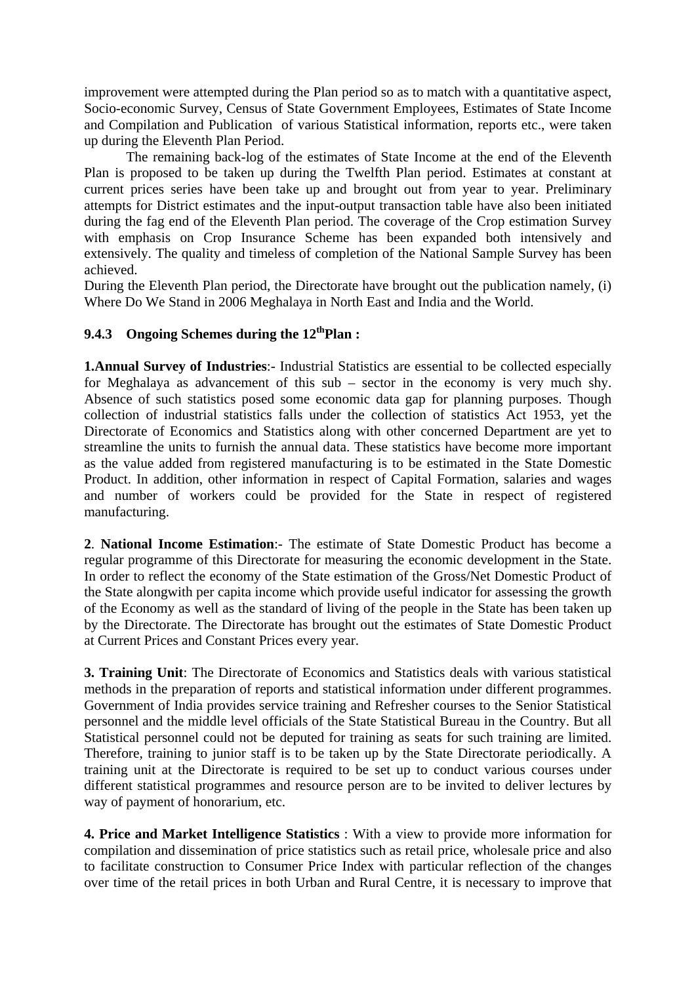improvement were attempted during the Plan period so as to match with a quantitative aspect, Socio-economic Survey, Census of State Government Employees, Estimates of State Income and Compilation and Publication of various Statistical information, reports etc., were taken up during the Eleventh Plan Period.

 The remaining back-log of the estimates of State Income at the end of the Eleventh Plan is proposed to be taken up during the Twelfth Plan period. Estimates at constant at current prices series have been take up and brought out from year to year. Preliminary attempts for District estimates and the input-output transaction table have also been initiated during the fag end of the Eleventh Plan period. The coverage of the Crop estimation Survey with emphasis on Crop Insurance Scheme has been expanded both intensively and extensively. The quality and timeless of completion of the National Sample Survey has been achieved.

During the Eleventh Plan period, the Directorate have brought out the publication namely, (i) Where Do We Stand in 2006 Meghalaya in North East and India and the World.

## **9.4.3 Ongoing Schemes during the 12thPlan :**

**1.Annual Survey of Industries**:- Industrial Statistics are essential to be collected especially for Meghalaya as advancement of this sub – sector in the economy is very much shy. Absence of such statistics posed some economic data gap for planning purposes. Though collection of industrial statistics falls under the collection of statistics Act 1953, yet the Directorate of Economics and Statistics along with other concerned Department are yet to streamline the units to furnish the annual data. These statistics have become more important as the value added from registered manufacturing is to be estimated in the State Domestic Product. In addition, other information in respect of Capital Formation, salaries and wages and number of workers could be provided for the State in respect of registered manufacturing.

**2**. **National Income Estimation**:- The estimate of State Domestic Product has become a regular programme of this Directorate for measuring the economic development in the State. In order to reflect the economy of the State estimation of the Gross/Net Domestic Product of the State alongwith per capita income which provide useful indicator for assessing the growth of the Economy as well as the standard of living of the people in the State has been taken up by the Directorate. The Directorate has brought out the estimates of State Domestic Product at Current Prices and Constant Prices every year.

**3. Training Unit**: The Directorate of Economics and Statistics deals with various statistical methods in the preparation of reports and statistical information under different programmes. Government of India provides service training and Refresher courses to the Senior Statistical personnel and the middle level officials of the State Statistical Bureau in the Country. But all Statistical personnel could not be deputed for training as seats for such training are limited. Therefore, training to junior staff is to be taken up by the State Directorate periodically. A training unit at the Directorate is required to be set up to conduct various courses under different statistical programmes and resource person are to be invited to deliver lectures by way of payment of honorarium, etc.

**4. Price and Market Intelligence Statistics** : With a view to provide more information for compilation and dissemination of price statistics such as retail price, wholesale price and also to facilitate construction to Consumer Price Index with particular reflection of the changes over time of the retail prices in both Urban and Rural Centre, it is necessary to improve that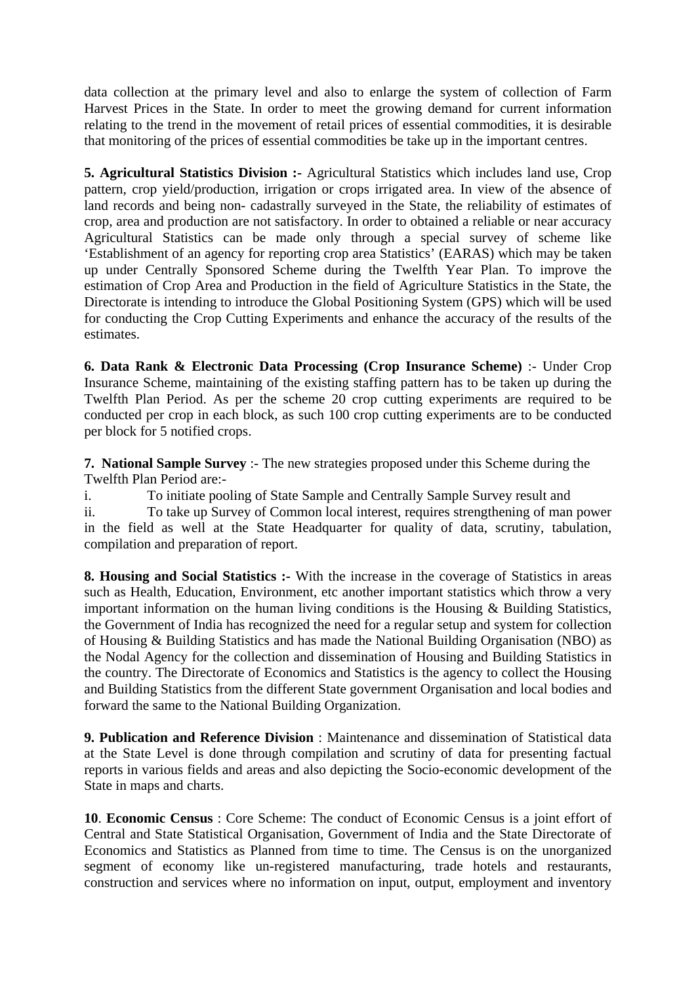data collection at the primary level and also to enlarge the system of collection of Farm Harvest Prices in the State. In order to meet the growing demand for current information relating to the trend in the movement of retail prices of essential commodities, it is desirable that monitoring of the prices of essential commodities be take up in the important centres.

**5. Agricultural Statistics Division :-** Agricultural Statistics which includes land use, Crop pattern, crop yield/production, irrigation or crops irrigated area. In view of the absence of land records and being non- cadastrally surveyed in the State, the reliability of estimates of crop, area and production are not satisfactory. In order to obtained a reliable or near accuracy Agricultural Statistics can be made only through a special survey of scheme like 'Establishment of an agency for reporting crop area Statistics' (EARAS) which may be taken up under Centrally Sponsored Scheme during the Twelfth Year Plan. To improve the estimation of Crop Area and Production in the field of Agriculture Statistics in the State, the Directorate is intending to introduce the Global Positioning System (GPS) which will be used for conducting the Crop Cutting Experiments and enhance the accuracy of the results of the estimates.

**6. Data Rank & Electronic Data Processing (Crop Insurance Scheme)** :- Under Crop Insurance Scheme, maintaining of the existing staffing pattern has to be taken up during the Twelfth Plan Period. As per the scheme 20 crop cutting experiments are required to be conducted per crop in each block, as such 100 crop cutting experiments are to be conducted per block for 5 notified crops.

**7. National Sample Survey** :- The new strategies proposed under this Scheme during the Twelfth Plan Period are:-

i. To initiate pooling of State Sample and Centrally Sample Survey result and ii. To take up Survey of Common local interest, requires strengthening of man power in the field as well at the State Headquarter for quality of data, scrutiny, tabulation, compilation and preparation of report.

**8. Housing and Social Statistics :-** With the increase in the coverage of Statistics in areas such as Health, Education, Environment, etc another important statistics which throw a very important information on the human living conditions is the Housing  $\&$  Building Statistics, the Government of India has recognized the need for a regular setup and system for collection of Housing & Building Statistics and has made the National Building Organisation (NBO) as the Nodal Agency for the collection and dissemination of Housing and Building Statistics in the country. The Directorate of Economics and Statistics is the agency to collect the Housing and Building Statistics from the different State government Organisation and local bodies and forward the same to the National Building Organization.

**9. Publication and Reference Division** : Maintenance and dissemination of Statistical data at the State Level is done through compilation and scrutiny of data for presenting factual reports in various fields and areas and also depicting the Socio-economic development of the State in maps and charts.

**10**. **Economic Census** : Core Scheme: The conduct of Economic Census is a joint effort of Central and State Statistical Organisation, Government of India and the State Directorate of Economics and Statistics as Planned from time to time. The Census is on the unorganized segment of economy like un-registered manufacturing, trade hotels and restaurants, construction and services where no information on input, output, employment and inventory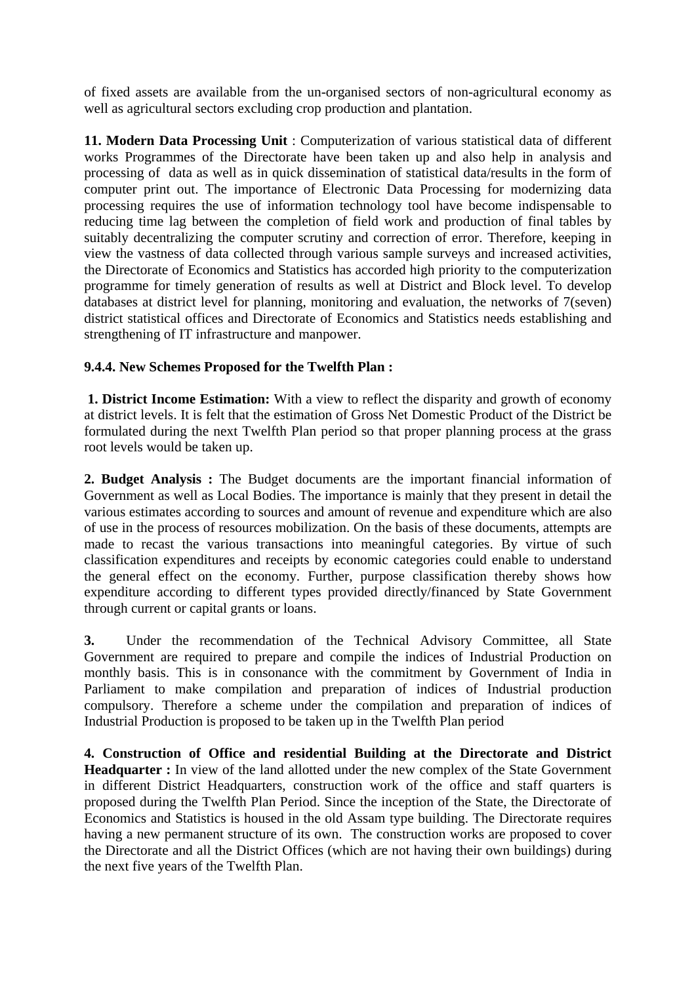of fixed assets are available from the un-organised sectors of non-agricultural economy as well as agricultural sectors excluding crop production and plantation.

**11. Modern Data Processing Unit** : Computerization of various statistical data of different works Programmes of the Directorate have been taken up and also help in analysis and processing of data as well as in quick dissemination of statistical data/results in the form of computer print out. The importance of Electronic Data Processing for modernizing data processing requires the use of information technology tool have become indispensable to reducing time lag between the completion of field work and production of final tables by suitably decentralizing the computer scrutiny and correction of error. Therefore, keeping in view the vastness of data collected through various sample surveys and increased activities, the Directorate of Economics and Statistics has accorded high priority to the computerization programme for timely generation of results as well at District and Block level. To develop databases at district level for planning, monitoring and evaluation, the networks of 7(seven) district statistical offices and Directorate of Economics and Statistics needs establishing and strengthening of IT infrastructure and manpower.

## **9.4.4. New Schemes Proposed for the Twelfth Plan :**

 **1. District Income Estimation:** With a view to reflect the disparity and growth of economy at district levels. It is felt that the estimation of Gross Net Domestic Product of the District be formulated during the next Twelfth Plan period so that proper planning process at the grass root levels would be taken up.

**2. Budget Analysis :** The Budget documents are the important financial information of Government as well as Local Bodies. The importance is mainly that they present in detail the various estimates according to sources and amount of revenue and expenditure which are also of use in the process of resources mobilization. On the basis of these documents, attempts are made to recast the various transactions into meaningful categories. By virtue of such classification expenditures and receipts by economic categories could enable to understand the general effect on the economy. Further, purpose classification thereby shows how expenditure according to different types provided directly/financed by State Government through current or capital grants or loans.

**3.** Under the recommendation of the Technical Advisory Committee, all State Government are required to prepare and compile the indices of Industrial Production on monthly basis. This is in consonance with the commitment by Government of India in Parliament to make compilation and preparation of indices of Industrial production compulsory. Therefore a scheme under the compilation and preparation of indices of Industrial Production is proposed to be taken up in the Twelfth Plan period

**4. Construction of Office and residential Building at the Directorate and District Headquarter :** In view of the land allotted under the new complex of the State Government in different District Headquarters, construction work of the office and staff quarters is proposed during the Twelfth Plan Period. Since the inception of the State, the Directorate of Economics and Statistics is housed in the old Assam type building. The Directorate requires having a new permanent structure of its own. The construction works are proposed to cover the Directorate and all the District Offices (which are not having their own buildings) during the next five years of the Twelfth Plan.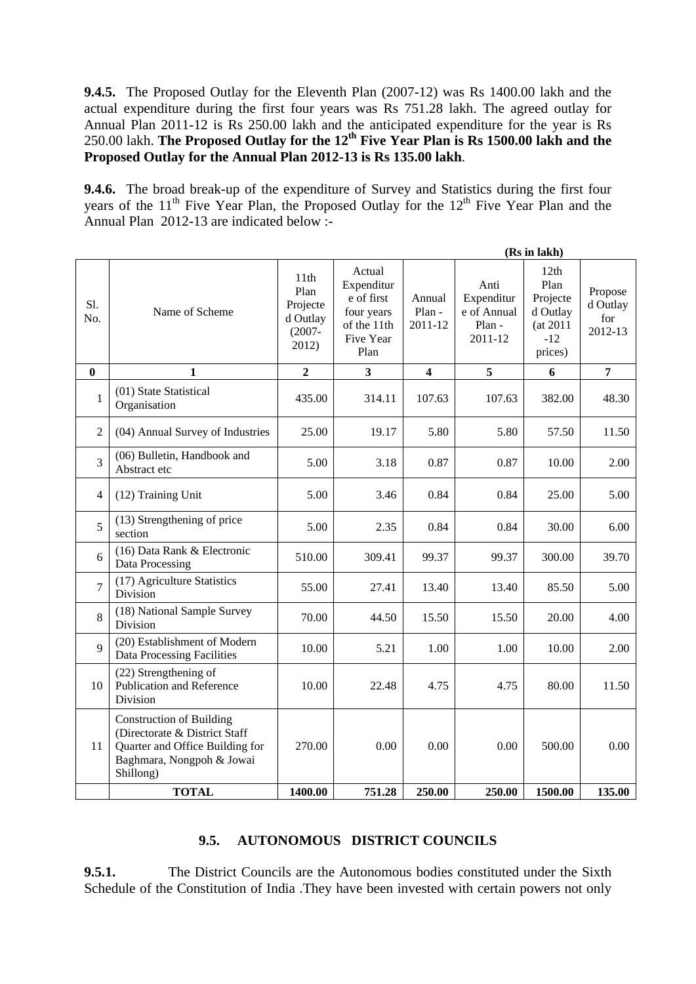**9.4.5.** The Proposed Outlay for the Eleventh Plan (2007-12) was Rs 1400.00 lakh and the actual expenditure during the first four years was Rs 751.28 lakh. The agreed outlay for Annual Plan 2011-12 is Rs 250.00 lakh and the anticipated expenditure for the year is Rs 250.00 lakh. **The Proposed Outlay for the 12th Five Year Plan is Rs 1500.00 lakh and the Proposed Outlay for the Annual Plan 2012-13 is Rs 135.00 lakh**.

**9.4.6.** The broad break-up of the expenditure of Survey and Statistics during the first four years of the  $11<sup>th</sup>$  Five Year Plan, the Proposed Outlay for the  $12<sup>th</sup>$  Five Year Plan and the Annual Plan 2012-13 are indicated below :-

|                |                                                                                                                                               |                                                                        |                                                                                      |                             | (Rs in lakh)                                           |                                                                      |                                       |  |
|----------------|-----------------------------------------------------------------------------------------------------------------------------------------------|------------------------------------------------------------------------|--------------------------------------------------------------------------------------|-----------------------------|--------------------------------------------------------|----------------------------------------------------------------------|---------------------------------------|--|
| S1.<br>No.     | Name of Scheme                                                                                                                                | 11 <sup>th</sup><br>Plan<br>Projecte<br>d Outlay<br>$(2007 -$<br>2012) | Actual<br>Expenditur<br>e of first<br>four years<br>of the 11th<br>Five Year<br>Plan | Annual<br>Plan -<br>2011-12 | Anti<br>Expenditur<br>e of Annual<br>Plan -<br>2011-12 | 12th<br>Plan<br>Projecte<br>d Outlay<br>(at 2011<br>$-12$<br>prices) | Propose<br>d Outlay<br>for<br>2012-13 |  |
| $\bf{0}$       | 1                                                                                                                                             | $\overline{2}$                                                         | 3                                                                                    | $\overline{\mathbf{4}}$     | 5                                                      | 6                                                                    | $\overline{7}$                        |  |
| 1              | (01) State Statistical<br>Organisation                                                                                                        | 435.00                                                                 | 314.11                                                                               | 107.63                      | 107.63                                                 | 382.00                                                               | 48.30                                 |  |
| $\overline{2}$ | (04) Annual Survey of Industries                                                                                                              | 25.00                                                                  | 19.17                                                                                | 5.80                        | 5.80                                                   | 57.50                                                                | 11.50                                 |  |
| 3              | (06) Bulletin, Handbook and<br>Abstract etc                                                                                                   | 5.00                                                                   | 3.18                                                                                 | 0.87                        | 0.87                                                   | 10.00                                                                | 2.00                                  |  |
| 4              | (12) Training Unit                                                                                                                            | 5.00                                                                   | 3.46                                                                                 | 0.84                        | 0.84                                                   | 25.00                                                                | 5.00                                  |  |
| 5              | (13) Strengthening of price<br>section                                                                                                        | 5.00                                                                   | 2.35                                                                                 | 0.84                        | 0.84                                                   | 30.00                                                                | 6.00                                  |  |
| 6              | (16) Data Rank & Electronic<br>Data Processing                                                                                                | 510.00                                                                 | 309.41                                                                               | 99.37                       | 99.37                                                  | 300.00                                                               | 39.70                                 |  |
| $\overline{7}$ | (17) Agriculture Statistics<br>Division                                                                                                       | 55.00                                                                  | 27.41                                                                                | 13.40                       | 13.40                                                  | 85.50                                                                | 5.00                                  |  |
| 8              | (18) National Sample Survey<br>Division                                                                                                       | 70.00                                                                  | 44.50                                                                                | 15.50                       | 15.50                                                  | 20.00                                                                | 4.00                                  |  |
| 9              | (20) Establishment of Modern<br>Data Processing Facilities                                                                                    | 10.00                                                                  | 5.21                                                                                 | 1.00                        | 1.00                                                   | 10.00                                                                | 2.00                                  |  |
| 10             | (22) Strengthening of<br>Publication and Reference<br>Division                                                                                | 10.00                                                                  | 22.48                                                                                | 4.75                        | 4.75                                                   | 80.00                                                                | 11.50                                 |  |
| 11             | <b>Construction of Building</b><br>(Directorate & District Staff<br>Quarter and Office Building for<br>Baghmara, Nongpoh & Jowai<br>Shillong) | 270.00                                                                 | 0.00                                                                                 | 0.00                        | 0.00                                                   | 500.00                                                               | 0.00                                  |  |
|                | <b>TOTAL</b>                                                                                                                                  | 1400.00                                                                | 751.28                                                                               | 250.00                      | 250.00                                                 | 1500.00                                                              | 135.00                                |  |

#### **9.5. AUTONOMOUS DISTRICT COUNCILS**

**9.5.1.** The District Councils are the Autonomous bodies constituted under the Sixth Schedule of the Constitution of India .They have been invested with certain powers not only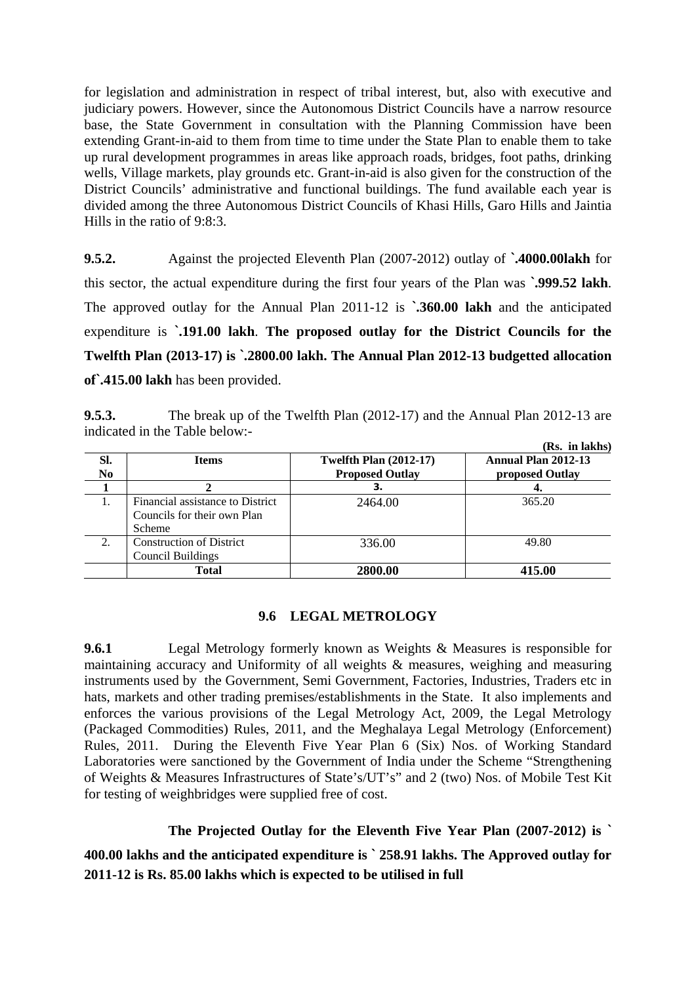for legislation and administration in respect of tribal interest, but, also with executive and judiciary powers. However, since the Autonomous District Councils have a narrow resource base, the State Government in consultation with the Planning Commission have been extending Grant-in-aid to them from time to time under the State Plan to enable them to take up rural development programmes in areas like approach roads, bridges, foot paths, drinking wells, Village markets, play grounds etc. Grant-in-aid is also given for the construction of the District Councils' administrative and functional buildings. The fund available each year is divided among the three Autonomous District Councils of Khasi Hills, Garo Hills and Jaintia Hills in the ratio of 9:8:3.

**9.5.2.** Against the projected Eleventh Plan (2007-2012) outlay of **`.4000.00lakh** for this sector, the actual expenditure during the first four years of the Plan was **`.999.52 lakh**. The approved outlay for the Annual Plan 2011-12 is **`.360.00 lakh** and the anticipated expenditure is **`.191.00 lakh**. **The proposed outlay for the District Councils for the Twelfth Plan (2013-17) is `.2800.00 lakh. The Annual Plan 2012-13 budgetted allocation of`.415.00 lakh** has been provided.

**9.5.3.** The break up of the Twelfth Plan (2012-17) and the Annual Plan 2012-13 are indicated in the Table below:-

|                       |                                                                           |                                                         | (Rs. in lakhs)                         |
|-----------------------|---------------------------------------------------------------------------|---------------------------------------------------------|----------------------------------------|
| SI.<br>N <sub>0</sub> | <b>Items</b>                                                              | <b>Twelfth Plan (2012-17)</b><br><b>Proposed Outlay</b> | Annual Plan 2012-13<br>proposed Outlay |
|                       |                                                                           | 3.                                                      |                                        |
|                       | Financial assistance to District<br>Councils for their own Plan<br>Scheme | 2464.00                                                 | 365.20                                 |
| 2.                    | <b>Construction of District</b><br><b>Council Buildings</b>               | 336.00                                                  | 49.80                                  |
|                       | Total                                                                     | 2800.00                                                 | 415.00                                 |

#### **9.6 LEGAL METROLOGY**

**9.6.1** Legal Metrology formerly known as Weights & Measures is responsible for maintaining accuracy and Uniformity of all weights & measures, weighing and measuring instruments used by the Government, Semi Government, Factories, Industries, Traders etc in hats, markets and other trading premises/establishments in the State. It also implements and enforces the various provisions of the Legal Metrology Act, 2009, the Legal Metrology (Packaged Commodities) Rules, 2011, and the Meghalaya Legal Metrology (Enforcement) Rules, 2011. During the Eleventh Five Year Plan 6 (Six) Nos. of Working Standard Laboratories were sanctioned by the Government of India under the Scheme "Strengthening of Weights & Measures Infrastructures of State's/UT's" and 2 (two) Nos. of Mobile Test Kit for testing of weighbridges were supplied free of cost.

 **The Projected Outlay for the Eleventh Five Year Plan (2007-2012) is `**

**400.00 lakhs and the anticipated expenditure is ` 258.91 lakhs. The Approved outlay for 2011-12 is Rs. 85.00 lakhs which is expected to be utilised in full**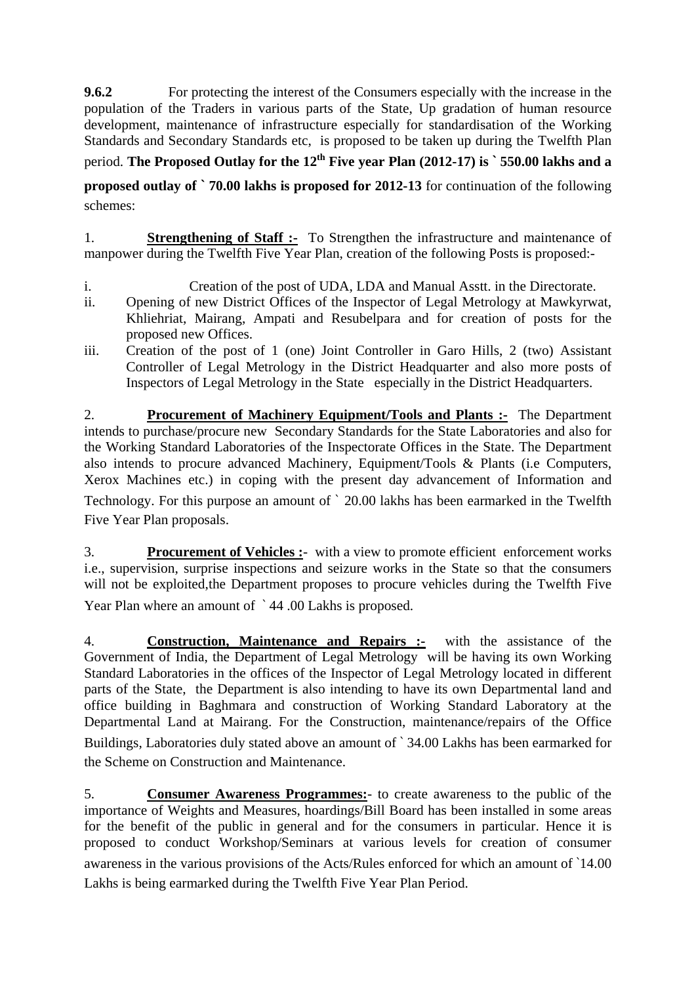**9.6.2** For protecting the interest of the Consumers especially with the increase in the population of the Traders in various parts of the State, Up gradation of human resource development, maintenance of infrastructure especially for standardisation of the Working Standards and Secondary Standards etc, is proposed to be taken up during the Twelfth Plan

period. **The Proposed Outlay for the 12th Five year Plan (2012-17) is ` 550.00 lakhs and a** 

**proposed outlay of ` 70.00 lakhs is proposed for 2012-13** for continuation of the following schemes:

1. **Strengthening of Staff :-** To Strengthen the infrastructure and maintenance of manpower during the Twelfth Five Year Plan, creation of the following Posts is proposed:-

- i. Creation of the post of UDA, LDA and Manual Asstt. in the Directorate.
- ii. Opening of new District Offices of the Inspector of Legal Metrology at Mawkyrwat, Khliehriat, Mairang, Ampati and Resubelpara and for creation of posts for the proposed new Offices.
- iii. Creation of the post of 1 (one) Joint Controller in Garo Hills, 2 (two) Assistant Controller of Legal Metrology in the District Headquarter and also more posts of Inspectors of Legal Metrology in the State especially in the District Headquarters.

2. **Procurement of Machinery Equipment/Tools and Plants :-** The Department intends to purchase/procure new Secondary Standards for the State Laboratories and also for the Working Standard Laboratories of the Inspectorate Offices in the State. The Department also intends to procure advanced Machinery, Equipment/Tools & Plants (i.e Computers, Xerox Machines etc.) in coping with the present day advancement of Information and Technology. For this purpose an amount of ` 20.00 lakhs has been earmarked in the Twelfth Five Year Plan proposals.

3. **Procurement of Vehicles :**- with a view to promote efficient enforcement works i.e., supervision, surprise inspections and seizure works in the State so that the consumers will not be exploited,the Department proposes to procure vehicles during the Twelfth Five Year Plan where an amount of  $\degree$  44.00 Lakhs is proposed.

4. **Construction, Maintenance and Repairs :-** with the assistance of the Government of India, the Department of Legal Metrology will be having its own Working Standard Laboratories in the offices of the Inspector of Legal Metrology located in different parts of the State, the Department is also intending to have its own Departmental land and office building in Baghmara and construction of Working Standard Laboratory at the Departmental Land at Mairang. For the Construction, maintenance/repairs of the Office Buildings, Laboratories duly stated above an amount of ` 34.00 Lakhs has been earmarked for the Scheme on Construction and Maintenance.

5. **Consumer Awareness Programmes:**- to create awareness to the public of the importance of Weights and Measures, hoardings/Bill Board has been installed in some areas for the benefit of the public in general and for the consumers in particular. Hence it is proposed to conduct Workshop/Seminars at various levels for creation of consumer awareness in the various provisions of the Acts/Rules enforced for which an amount of `14.00 Lakhs is being earmarked during the Twelfth Five Year Plan Period.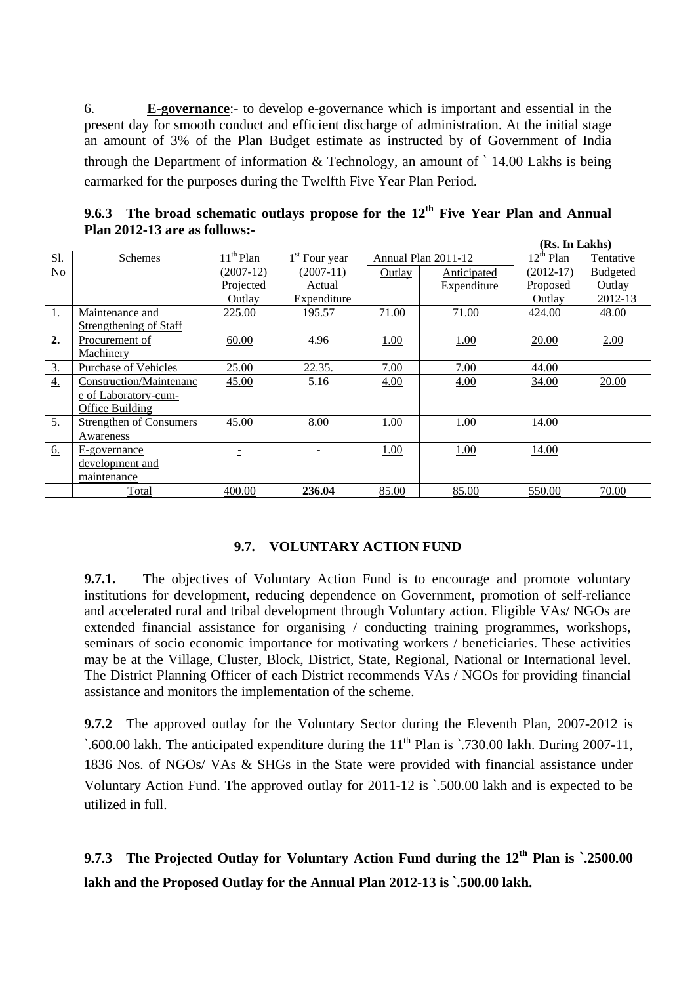6. **E-governance**:- to develop e-governance which is important and essential in the present day for smooth conduct and efficient discharge of administration. At the initial stage an amount of 3% of the Plan Budget estimate as instructed by of Government of India through the Department of information & Technology, an amount of ` 14.00 Lakhs is being earmarked for the purposes during the Twelfth Five Year Plan Period.

|                  | (Rs. In Lakhs)                 |                                    |                           |        |                     |                         |                 |
|------------------|--------------------------------|------------------------------------|---------------------------|--------|---------------------|-------------------------|-----------------|
| <u>Sl.</u>       | Schemes                        | $\overline{11}$ <sup>th</sup> Plan | 1 <sup>st</sup> Four year |        | Annual Plan 2011-12 | $12^{\text{m}}$<br>Plan | Tentative       |
| No               |                                | $(2007-12)$                        | $(2007-11)$               | Outlay | Anticipated         | $(2012-17)$             | <b>Budgeted</b> |
|                  |                                | Projected                          | Actual                    |        | Expenditure         | Proposed                | Outlay          |
|                  |                                | Outlay                             | Expenditure               |        |                     | Outlay                  | 2012-13         |
| <u>1.</u>        | Maintenance and                | 225.00                             | 195.57                    | 71.00  | 71.00               | 424.00                  | 48.00           |
|                  | Strengthening of Staff         |                                    |                           |        |                     |                         |                 |
| 2.               | Procurement of                 | 60.00                              | 4.96                      | 1.00   | 1.00                | 20.00                   | 2.00            |
|                  | Machinery                      |                                    |                           |        |                     |                         |                 |
| <u>3.</u>        | <b>Purchase of Vehicles</b>    | 25.00                              | 22.35.                    | 7.00   | 7.00                | 44.00                   |                 |
| $\overline{4}$ . | Construction/Maintenanc        | 45.00                              | 5.16                      | 4.00   | 4.00                | 34.00                   | 20.00           |
|                  | e of Laboratory-cum-           |                                    |                           |        |                     |                         |                 |
|                  | Office Building                |                                    |                           |        |                     |                         |                 |
| <u>5.</u>        | <b>Strengthen of Consumers</b> | 45.00                              | 8.00                      | 1.00   | 1.00                | 14.00                   |                 |
|                  | Awareness                      |                                    |                           |        |                     |                         |                 |
| 6.               | E-governance                   | Ξ                                  |                           | 1.00   | 1.00                | 14.00                   |                 |
|                  | development and                |                                    |                           |        |                     |                         |                 |
|                  | maintenance                    |                                    |                           |        |                     |                         |                 |
|                  | Total                          | 400.00                             | 236.04                    | 85.00  | 85.00               | 550.00                  | 70.00           |

**9.6.3** The broad schematic outlays propose for the 12<sup>th</sup> Five Year Plan and Annual **Plan 2012-13 are as follows:-** 

## **9.7. VOLUNTARY ACTION FUND**

**9.7.1.** The objectives of Voluntary Action Fund is to encourage and promote voluntary institutions for development, reducing dependence on Government, promotion of self-reliance and accelerated rural and tribal development through Voluntary action. Eligible VAs/ NGOs are extended financial assistance for organising / conducting training programmes, workshops, seminars of socio economic importance for motivating workers / beneficiaries. These activities may be at the Village, Cluster, Block, District, State, Regional, National or International level. The District Planning Officer of each District recommends VAs / NGOs for providing financial assistance and monitors the implementation of the scheme.

**9.7.2** The approved outlay for the Voluntary Sector during the Eleventh Plan, 2007-2012 is  $\cdot$ .600.00 lakh. The anticipated expenditure during the 11<sup>th</sup> Plan is  $\cdot$ .730.00 lakh. During 2007-11, 1836 Nos. of NGOs/ VAs & SHGs in the State were provided with financial assistance under Voluntary Action Fund. The approved outlay for 2011-12 is `.500.00 lakh and is expected to be utilized in full.

**9.7.3 The Projected Outlay for Voluntary Action Fund during the 12th Plan is `.2500.00 lakh and the Proposed Outlay for the Annual Plan 2012-13 is `.500.00 lakh.**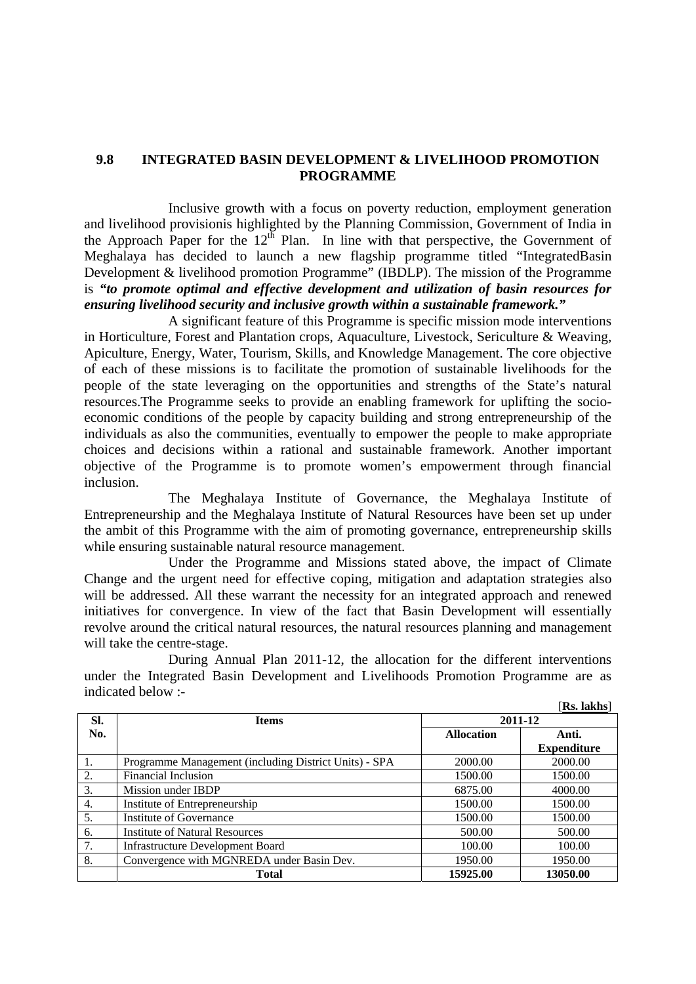### **9.8 INTEGRATED BASIN DEVELOPMENT & LIVELIHOOD PROMOTION PROGRAMME**

 Inclusive growth with a focus on poverty reduction, employment generation and livelihood provisionis highlighted by the Planning Commission, Government of India in the Approach Paper for the  $12^{th}$  Plan. In line with that perspective, the Government of Meghalaya has decided to launch a new flagship programme titled "IntegratedBasin Development & livelihood promotion Programme" (IBDLP). The mission of the Programme is *"to promote optimal and effective development and utilization of basin resources for ensuring livelihood security and inclusive growth within a sustainable framework."*

 A significant feature of this Programme is specific mission mode interventions in Horticulture, Forest and Plantation crops, Aquaculture, Livestock, Sericulture & Weaving, Apiculture, Energy, Water, Tourism, Skills, and Knowledge Management. The core objective of each of these missions is to facilitate the promotion of sustainable livelihoods for the people of the state leveraging on the opportunities and strengths of the State's natural resources.The Programme seeks to provide an enabling framework for uplifting the socioeconomic conditions of the people by capacity building and strong entrepreneurship of the individuals as also the communities, eventually to empower the people to make appropriate choices and decisions within a rational and sustainable framework. Another important objective of the Programme is to promote women's empowerment through financial inclusion.

 The Meghalaya Institute of Governance, the Meghalaya Institute of Entrepreneurship and the Meghalaya Institute of Natural Resources have been set up under the ambit of this Programme with the aim of promoting governance, entrepreneurship skills while ensuring sustainable natural resource management.

 Under the Programme and Missions stated above, the impact of Climate Change and the urgent need for effective coping, mitigation and adaptation strategies also will be addressed. All these warrant the necessity for an integrated approach and renewed initiatives for convergence. In view of the fact that Basin Development will essentially revolve around the critical natural resources, the natural resources planning and management will take the centre-stage.

 During Annual Plan 2011-12, the allocation for the different interventions under the Integrated Basin Development and Livelihoods Promotion Programme are as indicated below :- [**Rs. lakhs**]

|     |                                                       |          | KS. IAKNS          |
|-----|-------------------------------------------------------|----------|--------------------|
| SI. | <b>Items</b>                                          | 2011-12  |                    |
| No. | <b>Allocation</b>                                     |          | Anti.              |
|     |                                                       |          | <b>Expenditure</b> |
| 1.  | Programme Management (including District Units) - SPA | 2000.00  | 2000.00            |
| 2.  | <b>Financial Inclusion</b>                            | 1500.00  | 1500.00            |
| 3.  | Mission under IBDP                                    | 6875.00  | 4000.00            |
| 4.  | Institute of Entrepreneurship                         | 1500.00  | 1500.00            |
| 5.  | Institute of Governance                               | 1500.00  | 1500.00            |
| 6.  | <b>Institute of Natural Resources</b>                 | 500.00   | 500.00             |
| 7.  | <b>Infrastructure Development Board</b>               | 100.00   | 100.00             |
| 8.  | Convergence with MGNREDA under Basin Dev.             | 1950.00  | 1950.00            |
|     | <b>Total</b>                                          | 15925.00 | 13050.00           |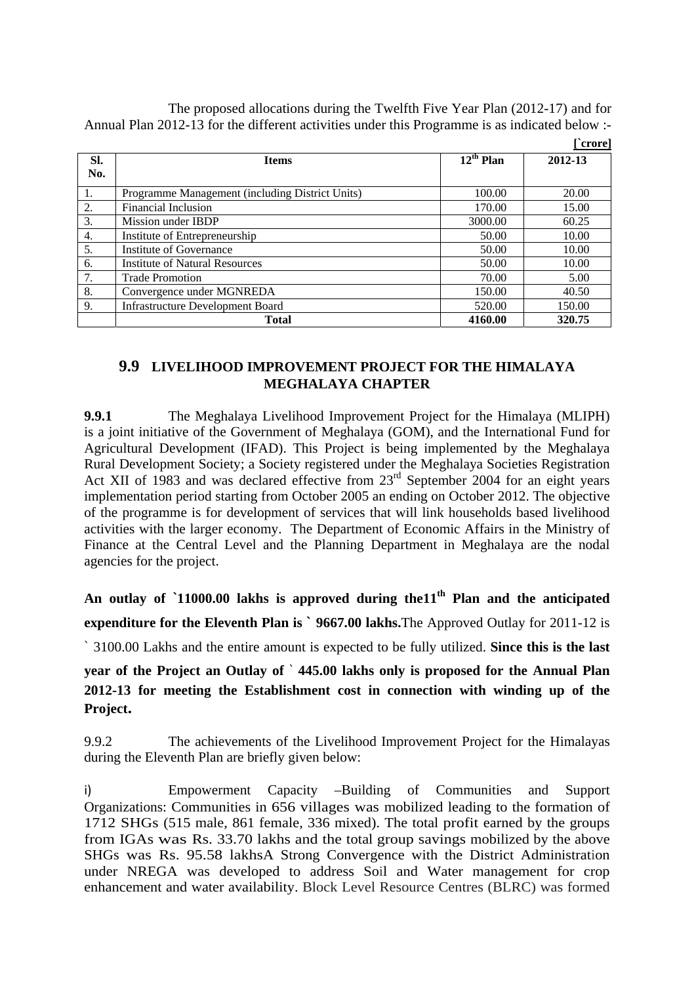The proposed allocations during the Twelfth Five Year Plan (2012-17) and for Annual Plan 2012-13 for the different activities under this Programme is as indicated below :-

|            |                                                 | [`crore]    |         |  |  |  |
|------------|-------------------------------------------------|-------------|---------|--|--|--|
| SI.<br>No. | <b>Items</b>                                    | $12th$ Plan | 2012-13 |  |  |  |
| 1.         | Programme Management (including District Units) | 100.00      | 20.00   |  |  |  |
| 2.         | Financial Inclusion                             | 170.00      | 15.00   |  |  |  |
| 3.         | Mission under IBDP                              | 3000.00     | 60.25   |  |  |  |
| 4.         | Institute of Entrepreneurship                   | 50.00       | 10.00   |  |  |  |
| 5.         | Institute of Governance                         | 50.00       | 10.00   |  |  |  |
| 6.         | <b>Institute of Natural Resources</b>           | 50.00       | 10.00   |  |  |  |
| 7.         | <b>Trade Promotion</b>                          | 70.00       | 5.00    |  |  |  |
| 8.         | Convergence under MGNREDA                       | 150.00      | 40.50   |  |  |  |
| 9.         | <b>Infrastructure Development Board</b>         | 520.00      | 150.00  |  |  |  |
|            | Total                                           | 4160.00     | 320.75  |  |  |  |

## **9.9 LIVELIHOOD IMPROVEMENT PROJECT FOR THE HIMALAYA MEGHALAYA CHAPTER**

**9.9.1** The Meghalaya Livelihood Improvement Project for the Himalaya (MLIPH) is a joint initiative of the Government of Meghalaya (GOM), and the International Fund for Agricultural Development (IFAD). This Project is being implemented by the Meghalaya Rural Development Society; a Society registered under the Meghalaya Societies Registration Act XII of 1983 and was declared effective from 23<sup>rd</sup> September 2004 for an eight years implementation period starting from October 2005 an ending on October 2012. The objective of the programme is for development of services that will link households based livelihood activities with the larger economy. The Department of Economic Affairs in the Ministry of Finance at the Central Level and the Planning Department in Meghalaya are the nodal agencies for the project.

**An outlay of `11000.00 lakhs is approved during the11th Plan and the anticipated expenditure for the Eleventh Plan is ` 9667.00 lakhs.**The Approved Outlay for 2011-12 is ` 3100.00 Lakhs and the entire amount is expected to be fully utilized. **Since this is the last year of the Project an Outlay of** ` **445.00 lakhs only is proposed for the Annual Plan 2012-13 for meeting the Establishment cost in connection with winding up of the Project.**

9.9.2 The achievements of the Livelihood Improvement Project for the Himalayas during the Eleventh Plan are briefly given below:

i) Empowerment Capacity –Building of Communities and Support Organizations: Communities in 656 villages was mobilized leading to the formation of 1712 SHGs (515 male, 861 female, 336 mixed). The total profit earned by the groups from IGAs was Rs. 33.70 lakhs and the total group savings mobilized by the above SHGs was Rs. 95.58 lakhsA Strong Convergence with the District Administration under NREGA was developed to address Soil and Water management for crop enhancement and water availability. Block Level Resource Centres (BLRC) was formed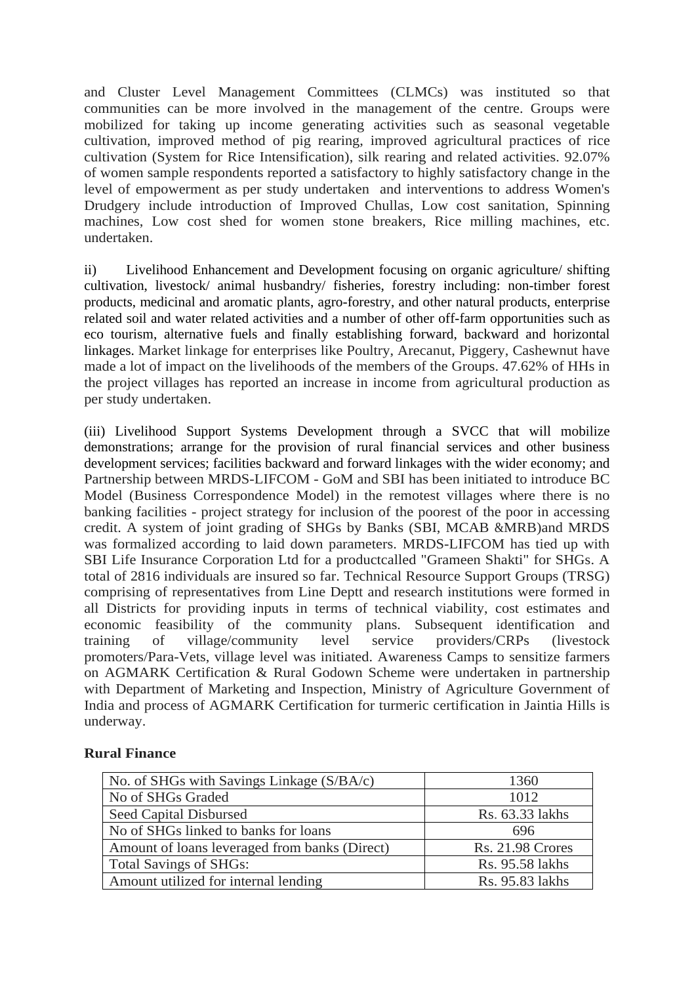and Cluster Level Management Committees (CLMCs) was instituted so that communities can be more involved in the management of the centre. Groups were mobilized for taking up income generating activities such as seasonal vegetable cultivation, improved method of pig rearing, improved agricultural practices of rice cultivation (System for Rice Intensification), silk rearing and related activities. 92.07% of women sample respondents reported a satisfactory to highly satisfactory change in the level of empowerment as per study undertaken and interventions to address Women's Drudgery include introduction of Improved Chullas, Low cost sanitation, Spinning machines, Low cost shed for women stone breakers, Rice milling machines, etc. undertaken.

ii) Livelihood Enhancement and Development focusing on organic agriculture/ shifting cultivation, livestock/ animal husbandry/ fisheries, forestry including: non-timber forest products, medicinal and aromatic plants, agro-forestry, and other natural products, enterprise related soil and water related activities and a number of other off-farm opportunities such as eco tourism, alternative fuels and finally establishing forward, backward and horizontal linkages. Market linkage for enterprises like Poultry, Arecanut, Piggery, Cashewnut have made a lot of impact on the livelihoods of the members of the Groups. 47.62% of HHs in the project villages has reported an increase in income from agricultural production as per study undertaken.

(iii) Livelihood Support Systems Development through a SVCC that will mobilize demonstrations; arrange for the provision of rural financial services and other business development services; facilities backward and forward linkages with the wider economy; and Partnership between MRDS-LIFCOM - GoM and SBI has been initiated to introduce BC Model (Business Correspondence Model) in the remotest villages where there is no banking facilities - project strategy for inclusion of the poorest of the poor in accessing credit. A system of joint grading of SHGs by Banks (SBI, MCAB &MRB)and MRDS was formalized according to laid down parameters. MRDS-LIFCOM has tied up with SBI Life Insurance Corporation Ltd for a productcalled "Grameen Shakti" for SHGs. A total of 2816 individuals are insured so far. Technical Resource Support Groups (TRSG) comprising of representatives from Line Deptt and research institutions were formed in all Districts for providing inputs in terms of technical viability, cost estimates and economic feasibility of the community plans. Subsequent identification and training of village/community level service providers/CRPs (livestock promoters/Para-Vets, village level was initiated. Awareness Camps to sensitize farmers on AGMARK Certification & Rural Godown Scheme were undertaken in partnership with Department of Marketing and Inspection, Ministry of Agriculture Government of India and process of AGMARK Certification for turmeric certification in Jaintia Hills is underway.

| No. of SHGs with Savings Linkage (S/BA/c)     | 1360                    |  |  |
|-----------------------------------------------|-------------------------|--|--|
| No of SHGs Graded                             | 1012                    |  |  |
| Seed Capital Disbursed                        | Rs. 63.33 lakhs         |  |  |
| No of SHGs linked to banks for loans          | 696                     |  |  |
| Amount of loans leveraged from banks (Direct) | <b>Rs. 21.98 Crores</b> |  |  |
| <b>Total Savings of SHGs:</b>                 | Rs. 95.58 lakhs         |  |  |
| Amount utilized for internal lending          | Rs. 95.83 lakhs         |  |  |

## **Rural Finance**